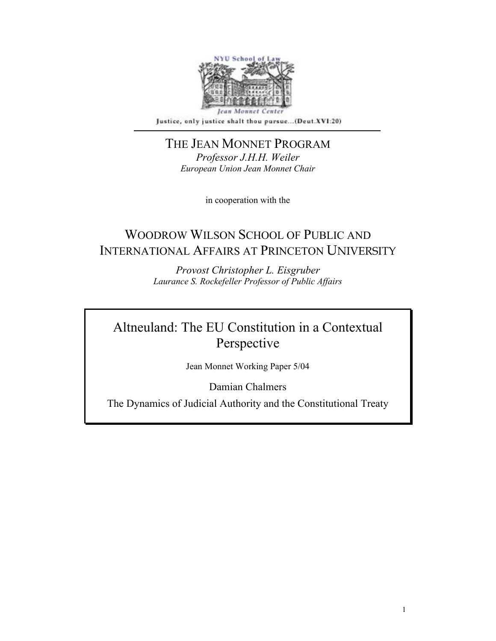

Justice, only justice shalt thou pursue...(Deut.XVI:20)

THE JEAN MONNET PROGRAM *Professor J.H.H. Weiler European Union Jean Monnet Chair* 

in cooperation with the

# WOODROW WILSON SCHOOL OF PUBLIC AND INTERNATIONAL AFFAIRS AT PRINCETON UNIVERSITY

*Provost Christopher L. Eisgruber Laurance S. Rockefeller Professor of Public Affairs* 

# Altneuland: The EU Constitution in a Contextual Perspective

Jean Monnet Working Paper 5/04

Damian Chalmers

The Dynamics of Judicial Authority and the Constitutional Treaty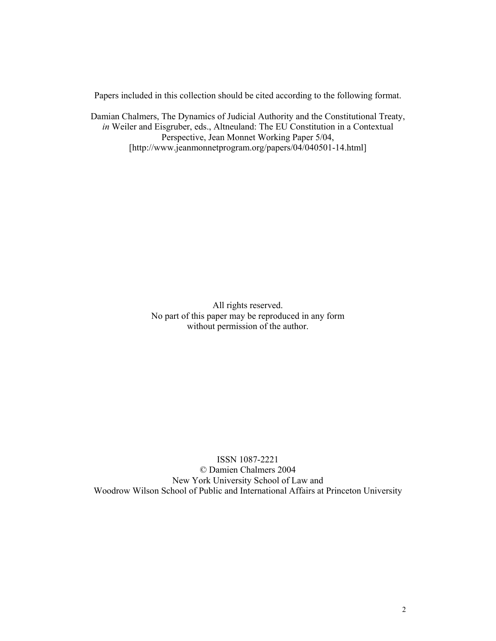Papers included in this collection should be cited according to the following format.

Damian Chalmers, The Dynamics of Judicial Authority and the Constitutional Treaty, *in* Weiler and Eisgruber, eds., Altneuland: The EU Constitution in a Contextual Perspective, Jean Monnet Working Paper 5/04, [http://www.jeanmonnetprogram.org/papers/04/040501-14.html]

> All rights reserved. No part of this paper may be reproduced in any form without permission of the author.

ISSN 1087-2221 © Damien Chalmers 2004 New York University School of Law and Woodrow Wilson School of Public and International Affairs at Princeton University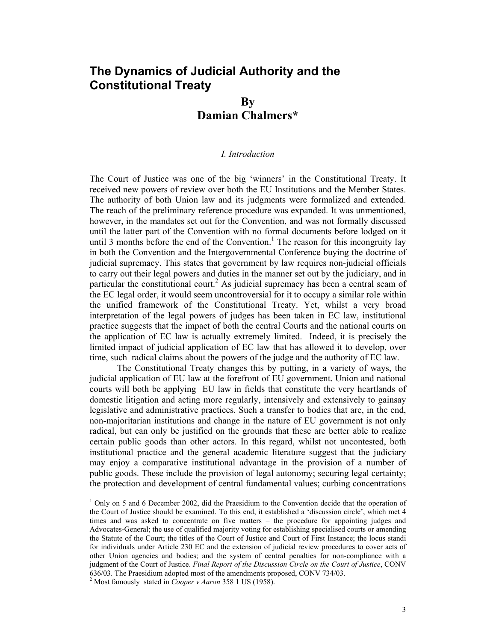## **The Dynamics of Judicial Authority and the Constitutional Treaty**

### **By Damian Chalmers\***

#### *I. Introduction*

The Court of Justice was one of the big 'winners' in the Constitutional Treaty. It received new powers of review over both the EU Institutions and the Member States. The authority of both Union law and its judgments were formalized and extended. The reach of the preliminary reference procedure was expanded. It was unmentioned, however, in the mandates set out for the Convention, and was not formally discussed until the latter part of the Convention with no formal documents before lodged on it until 3 months before the end of the Convention.<sup>1</sup> The reason for this incongruity lay in both the Convention and the Intergovernmental Conference buying the doctrine of judicial supremacy. This states that government by law requires non-judicial officials to carry out their legal powers and duties in the manner set out by the judiciary, and in particular the constitutional court.<sup>2</sup> As judicial supremacy has been a central seam of the EC legal order, it would seem uncontroversial for it to occupy a similar role within the unified framework of the Constitutional Treaty. Yet, whilst a very broad interpretation of the legal powers of judges has been taken in EC law, institutional practice suggests that the impact of both the central Courts and the national courts on the application of EC law is actually extremely limited. Indeed, it is precisely the limited impact of judicial application of EC law that has allowed it to develop, over time, such radical claims about the powers of the judge and the authority of EC law.

The Constitutional Treaty changes this by putting, in a variety of ways, the judicial application of EU law at the forefront of EU government. Union and national courts will both be applying EU law in fields that constitute the very heartlands of domestic litigation and acting more regularly, intensively and extensively to gainsay legislative and administrative practices. Such a transfer to bodies that are, in the end, non-majoritarian institutions and change in the nature of EU government is not only radical, but can only be justified on the grounds that these are better able to realize certain public goods than other actors. In this regard, whilst not uncontested, both institutional practice and the general academic literature suggest that the judiciary may enjoy a comparative institutional advantage in the provision of a number of public goods. These include the provision of legal autonomy; securing legal certainty; the protection and development of central fundamental values; curbing concentrations

<sup>&</sup>lt;sup>1</sup> Only on 5 and 6 December 2002, did the Praesidium to the Convention decide that the operation of the Court of Justice should be examined. To this end, it established a 'discussion circle', which met 4 times and was asked to concentrate on five matters – the procedure for appointing judges and Advocates-General; the use of qualified majority voting for establishing specialised courts or amending the Statute of the Court; the titles of the Court of Justice and Court of First Instance; the locus standi for individuals under Article 230 EC and the extension of judicial review procedures to cover acts of other Union agencies and bodies; and the system of central penalties for non-compliance with a judgment of the Court of Justice. *Final Report of the Discussion Circle on the Court of Justice*, CONV 636/03. The Praesidium adopted most of the amendments proposed, CONV 734/03.

<sup>2</sup> Most famously stated in *Cooper v Aaron* 358 1 US (1958).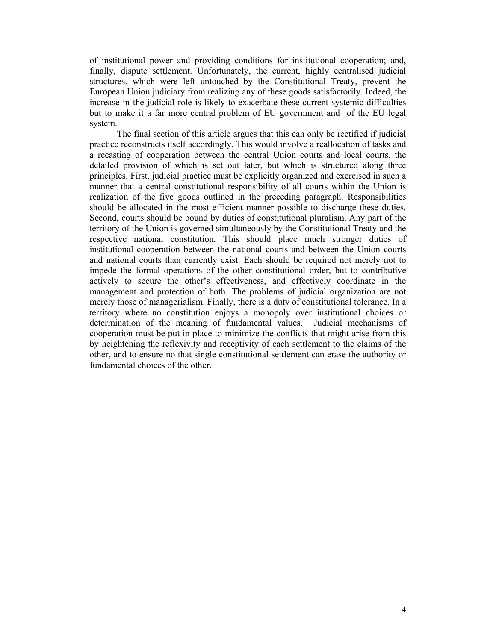of institutional power and providing conditions for institutional cooperation; and, finally, dispute settlement. Unfortunately, the current, highly centralised judicial structures, which were left untouched by the Constitutional Treaty, prevent the European Union judiciary from realizing any of these goods satisfactorily. Indeed, the increase in the judicial role is likely to exacerbate these current systemic difficulties but to make it a far more central problem of EU government and of the EU legal system.

The final section of this article argues that this can only be rectified if judicial practice reconstructs itself accordingly. This would involve a reallocation of tasks and a recasting of cooperation between the central Union courts and local courts, the detailed provision of which is set out later, but which is structured along three principles. First, judicial practice must be explicitly organized and exercised in such a manner that a central constitutional responsibility of all courts within the Union is realization of the five goods outlined in the preceding paragraph. Responsibilities should be allocated in the most efficient manner possible to discharge these duties. Second, courts should be bound by duties of constitutional pluralism. Any part of the territory of the Union is governed simultaneously by the Constitutional Treaty and the respective national constitution. This should place much stronger duties of institutional cooperation between the national courts and between the Union courts and national courts than currently exist. Each should be required not merely not to impede the formal operations of the other constitutional order, but to contributive actively to secure the other's effectiveness, and effectively coordinate in the management and protection of both. The problems of judicial organization are not merely those of managerialism. Finally, there is a duty of constitutional tolerance. In a territory where no constitution enjoys a monopoly over institutional choices or determination of the meaning of fundamental values. Judicial mechanisms of cooperation must be put in place to minimize the conflicts that might arise from this by heightening the reflexivity and receptivity of each settlement to the claims of the other, and to ensure no that single constitutional settlement can erase the authority or fundamental choices of the other.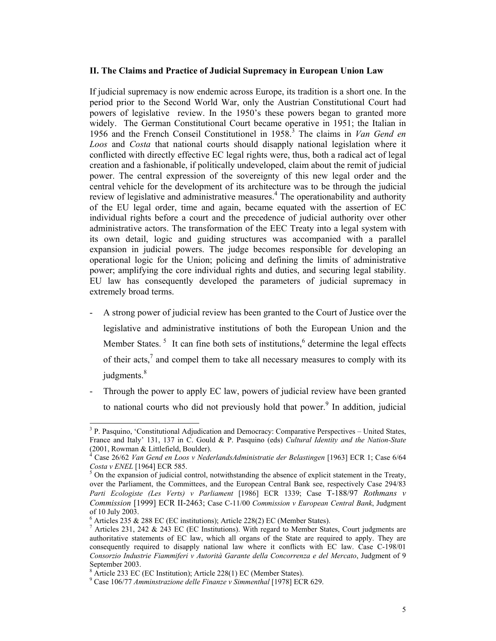#### **II. The Claims and Practice of Judicial Supremacy in European Union Law**

If judicial supremacy is now endemic across Europe, its tradition is a short one. In the period prior to the Second World War, only the Austrian Constitutional Court had powers of legislative review. In the 1950's these powers began to granted more widely. The German Constitutional Court became operative in 1951; the Italian in 1956 and the French Conseil Constitutionel in 1958.<sup>3</sup> The claims in *Van Gend en Loos* and *Costa* that national courts should disapply national legislation where it conflicted with directly effective EC legal rights were, thus, both a radical act of legal creation and a fashionable, if politically undeveloped, claim about the remit of judicial power. The central expression of the sovereignty of this new legal order and the central vehicle for the development of its architecture was to be through the judicial review of legislative and administrative measures.<sup>4</sup> The operationability and authority of the EU legal order, time and again, became equated with the assertion of EC individual rights before a court and the precedence of judicial authority over other administrative actors. The transformation of the EEC Treaty into a legal system with its own detail, logic and guiding structures was accompanied with a parallel expansion in judicial powers. The judge becomes responsible for developing an operational logic for the Union; policing and defining the limits of administrative power; amplifying the core individual rights and duties, and securing legal stability. EU law has consequently developed the parameters of judicial supremacy in extremely broad terms.

- A strong power of judicial review has been granted to the Court of Justice over the legislative and administrative institutions of both the European Union and the Member States.<sup>5</sup> It can fine both sets of institutions,<sup>6</sup> determine the legal effects of their acts, $<sup>7</sup>$  and compel them to take all necessary measures to comply with its</sup> judgments.<sup>8</sup>
- Through the power to apply EC law, powers of judicial review have been granted to national courts who did not previously hold that power.<sup>9</sup> In addition, judicial

<sup>&</sup>lt;sup>3</sup> P. Pasquino, 'Constitutional Adjudication and Democracy: Comparative Perspectives – United States, France and Italy' 131, 137 in C. Gould & P. Pasquino (eds) *Cultural Identity and the Nation-State*  $(2001, Rowman & Littlefield, Boulder).$ <sup>4</sup> Case 26/62 *Van Gard an* Loos y Nade

Case 26/62 *Van Gend en Loos v NederlandsAdministratie der Belastingen* [1963] ECR 1; Case 6/64

*Costa v ENEL* [1964] ECR 585.<br><sup>5</sup> On the expansion of judicial control, notwithstanding the absence of explicit statement in the Treaty, over the Parliament, the Committees, and the European Central Bank see, respectively Case 294/83 *Parti Ecologiste (Les Verts) v Parliament* [1986] ECR 1339; Case T-188/97 *Rothmans v Commission* [1999] ECR II-2463; Case C-11/00 *Commission v European Central Bank*, Judgment of 10 July 2003.

<sup>6</sup> Articles 235 & 288 EC (EC institutions); Article 228(2) EC (Member States).

<sup>&</sup>lt;sup>7</sup> Articles 231, 242 & 243 EC (EC Institutions). With regard to Member States, Court judgments are authoritative statements of EC law, which all organs of the State are required to apply. They are consequently required to disapply national law where it conflicts with EC law. Case C-198/01 *Consorzio Industrie Fiammiferi v Autorità Garante della Concorrenza e del Mercato*, Judgment of 9 September 2003.

 $^8$  Article 233 EC (EC Institution); Article 228(1) EC (Member States).

Case 106/77 *Amminstrazione delle Finanze v Simmenthal* [1978] ECR 629.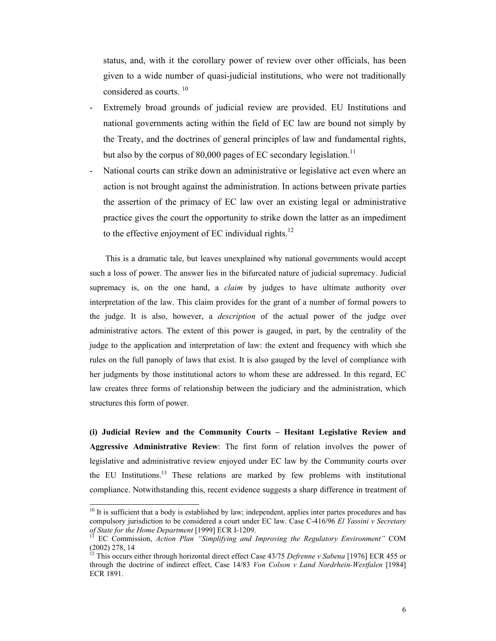status, and, with it the corollary power of review over other officials, has been given to a wide number of quasi-judicial institutions, who were not traditionally considered as courts.<sup>10</sup>

- Extremely broad grounds of judicial review are provided. EU Institutions and national governments acting within the field of EC law are bound not simply by the Treaty, and the doctrines of general principles of law and fundamental rights, but also by the corpus of 80,000 pages of  $EC$  secondary legislation.<sup>11</sup>
- National courts can strike down an administrative or legislative act even where an action is not brought against the administration. In actions between private parties the assertion of the primacy of EC law over an existing legal or administrative practice gives the court the opportunity to strike down the latter as an impediment to the effective enjoyment of EC individual rights. $^{12}$

 This is a dramatic tale, but leaves unexplained why national governments would accept such a loss of power. The answer lies in the bifurcated nature of judicial supremacy. Judicial supremacy is, on the one hand, a *claim* by judges to have ultimate authority over interpretation of the law. This claim provides for the grant of a number of formal powers to the judge. It is also, however, a *description* of the actual power of the judge over administrative actors. The extent of this power is gauged, in part, by the centrality of the judge to the application and interpretation of law: the extent and frequency with which she rules on the full panoply of laws that exist. It is also gauged by the level of compliance with her judgments by those institutional actors to whom these are addressed. In this regard, EC law creates three forms of relationship between the judiciary and the administration, which structures this form of power.

**(i) Judicial Review and the Community Courts – Hesitant Legislative Review and Aggressive Administrative Review**: The first form of relation involves the power of legislative and administrative review enjoyed under EC law by the Community courts over the EU Institutions.13 These relations are marked by few problems with institutional compliance. Notwithstanding this, recent evidence suggests a sharp difference in treatment of

 $10$  It is sufficient that a body is established by law; independent, applies inter partes procedures and has compulsory jurisdiction to be considered a court under EC law. Case C-416/96 *El Yassini v Secretary* 

*of State for the Home Department* [1999] ECR I-1209. 11 EC Commission, *Action Plan "Simplifying and Improving the Regulatory Environment"* COM (2002) 278, 14

<sup>&</sup>lt;sup>12</sup> This occurs either through horizontal direct effect Case 43/75 Defrenne v Sabena [1976] ECR 455 or through the doctrine of indirect effect, Case 14/83 *Von Colson v Land Nordrhein-Westfalen* [1984] ECR 1891.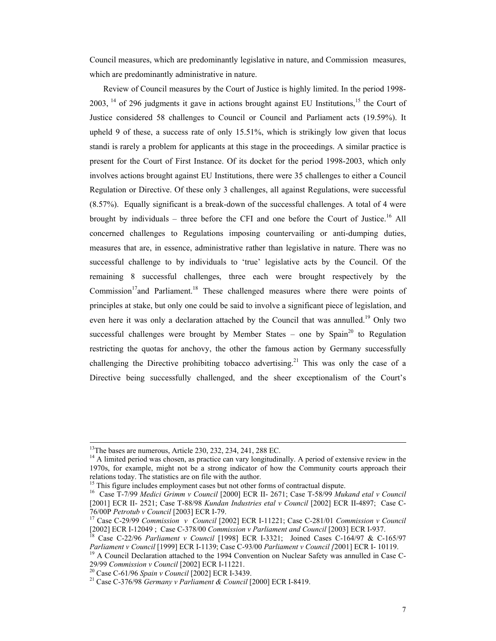Council measures, which are predominantly legislative in nature, and Commission measures, which are predominantly administrative in nature.

Review of Council measures by the Court of Justice is highly limited. In the period 1998-  $2003$ ,  $^{14}$  of 296 judgments it gave in actions brought against EU Institutions, <sup>15</sup> the Court of Justice considered 58 challenges to Council or Council and Parliament acts (19.59%). It upheld 9 of these, a success rate of only 15.51%, which is strikingly low given that locus standi is rarely a problem for applicants at this stage in the proceedings. A similar practice is present for the Court of First Instance. Of its docket for the period 1998-2003, which only involves actions brought against EU Institutions, there were 35 challenges to either a Council Regulation or Directive. Of these only 3 challenges, all against Regulations, were successful (8.57%). Equally significant is a break-down of the successful challenges. A total of 4 were brought by individuals – three before the CFI and one before the Court of Justice.<sup>16</sup> All concerned challenges to Regulations imposing countervailing or anti-dumping duties, measures that are, in essence, administrative rather than legislative in nature. There was no successful challenge to by individuals to 'true' legislative acts by the Council. Of the remaining 8 successful challenges, three each were brought respectively by the Commission<sup>17</sup>and Parliament.<sup>18</sup> These challenged measures where there were points of principles at stake, but only one could be said to involve a significant piece of legislation, and even here it was only a declaration attached by the Council that was annulled.<sup>19</sup> Only two successful challenges were brought by Member States – one by Spain<sup>20</sup> to Regulation restricting the quotas for anchovy, the other the famous action by Germany successfully challenging the Directive prohibiting tobacco advertising.<sup>21</sup> This was only the case of a Directive being successfully challenged, and the sheer exceptionalism of the Court's

<sup>&</sup>lt;sup>13</sup>The bases are numerous, Article 230, 232, 234, 241, 288 EC.

<sup>&</sup>lt;sup>14</sup> A limited period was chosen, as practice can vary longitudinally. A period of extensive review in the 1970s, for example, might not be a strong indicator of how the Community courts approach their relations today. The statistics are on file with the author.

<sup>&</sup>lt;sup>15</sup> This figure includes employment cases but not other forms of contractual dispute.

<sup>16</sup> Case T-7/99 *Medici Grimm v Council* [2000] ECR II- 2671; Case T-58/99 *Mukand etal v Council* [2001] ECR II- 2521; Case T-88/98 *Kundan Industries etal v Council* [2002] ECR II-4897; Case C-76/00P *Petrotub v Council* [2003] ECR I-79. 17 Case C-29/99 *Commission v Council* [2002] ECR I-11221; Case C-281/01 *Commission v Council*

<sup>[2002]</sup> ECR I-12049 ; Case C-378/00 *Commission v Parliament and Council* [2003] ECR I-937.<br><sup>18</sup> Case C-22/96 *Parliament v Council* [1998] ECR I-3321; Joined Cases C-164/97 & C-165/97<br>*Parliament v Council* [1999] ECR I-11

<sup>&</sup>lt;sup>19</sup> A Council Declaration attached to the 1994 Convention on Nuclear Safety was annulled in Case C-29/99 *Commission v Council* [2002] ECR I-11221. 20 Case C-61/96 *Spain v Council* [2002] ECR I-3439. 21 Case C-376/98 *Germany v Parliament & Council* [2000] ECR I-8419.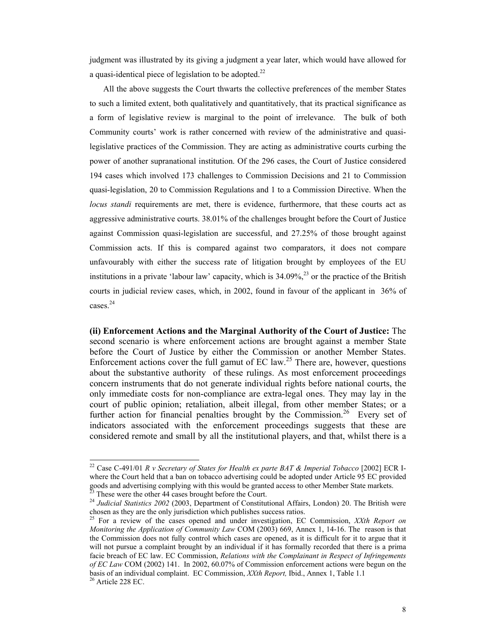judgment was illustrated by its giving a judgment a year later, which would have allowed for a quasi-identical piece of legislation to be adopted.<sup>22</sup>

All the above suggests the Court thwarts the collective preferences of the member States to such a limited extent, both qualitatively and quantitatively, that its practical significance as a form of legislative review is marginal to the point of irrelevance. The bulk of both Community courts' work is rather concerned with review of the administrative and quasilegislative practices of the Commission. They are acting as administrative courts curbing the power of another supranational institution. Of the 296 cases, the Court of Justice considered 194 cases which involved 173 challenges to Commission Decisions and 21 to Commission quasi-legislation, 20 to Commission Regulations and 1 to a Commission Directive. When the *locus standi* requirements are met, there is evidence, furthermore, that these courts act as aggressive administrative courts. 38.01% of the challenges brought before the Court of Justice against Commission quasi-legislation are successful, and 27.25% of those brought against Commission acts. If this is compared against two comparators, it does not compare unfavourably with either the success rate of litigation brought by employees of the EU institutions in a private 'labour law' capacity, which is  $34.09\%$ <sup>23</sup> or the practice of the British courts in judicial review cases, which, in 2002, found in favour of the applicant in 36% of cases.24

**(ii) Enforcement Actions and the Marginal Authority of the Court of Justice:** The second scenario is where enforcement actions are brought against a member State before the Court of Justice by either the Commission or another Member States. Enforcement actions cover the full gamut of EC law.<sup>25</sup> There are, however, questions about the substantive authority of these rulings. As most enforcement proceedings concern instruments that do not generate individual rights before national courts, the only immediate costs for non-compliance are extra-legal ones. They may lay in the court of public opinion; retaliation, albeit illegal, from other member States; or a further action for financial penalties brought by the Commission.<sup>26</sup> Every set of indicators associated with the enforcement proceedings suggests that these are considered remote and small by all the institutional players, and that, whilst there is a

<sup>22</sup> Case C-491/01 *R v Secretary of States for Health ex parte BAT & Imperial Tobacco* [2002] ECR Iwhere the Court held that a ban on tobacco advertising could be adopted under Article 95 EC provided goods and advertising complying with this would be granted access to other Member State markets. These were the other 44 cases brought before the Court.

<sup>&</sup>lt;sup>24</sup> *Judicial Statistics 2002* (2003, Department of Constitutional Affairs, London) 20. The British were chosen as they are the only jurisdiction which publishes success ratios.

<sup>25</sup> For a review of the cases opened and under investigation, EC Commission, *XXth Report on Monitoring the Application of Community Law* COM (2003) 669, Annex 1, 14-16. The reason is that the Commission does not fully control which cases are opened, as it is difficult for it to argue that it will not pursue a complaint brought by an individual if it has formally recorded that there is a prima facie breach of EC law. EC Commission, *Relations with the Complainant in Respect of Infringements of EC Law* COM (2002) 141. In 2002, 60.07% of Commission enforcement actions were begun on the basis of an individual complaint. EC Commission, *XXth Report,* Ibid., Annex 1, Table 1.1 26 Article 228 EC.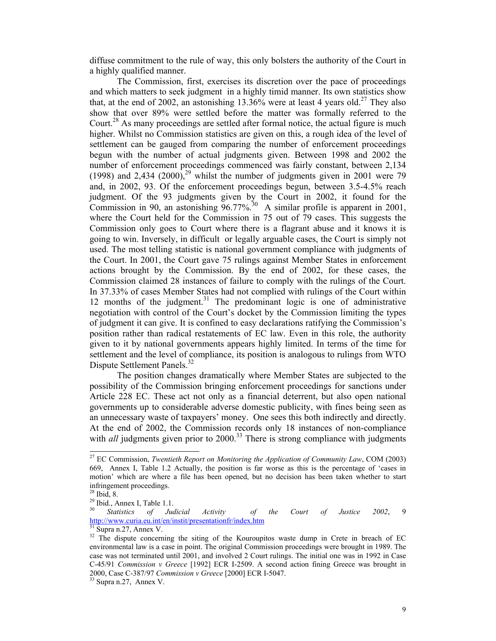diffuse commitment to the rule of way, this only bolsters the authority of the Court in a highly qualified manner.

 The Commission, first, exercises its discretion over the pace of proceedings and which matters to seek judgment in a highly timid manner. Its own statistics show that, at the end of 2002, an astonishing 13.36% were at least 4 years old.<sup>27</sup> They also show that over 89% were settled before the matter was formally referred to the Court.<sup>28</sup> As many proceedings are settled after formal notice, the actual figure is much higher. Whilst no Commission statistics are given on this, a rough idea of the level of settlement can be gauged from comparing the number of enforcement proceedings begun with the number of actual judgments given. Between 1998 and 2002 the number of enforcement proceedings commenced was fairly constant, between 2,134 (1998) and 2,434  $(2000)$ ,<sup>29</sup> whilst the number of judgments given in 2001 were 79 and, in 2002, 93. Of the enforcement proceedings begun, between 3.5-4.5% reach judgment. Of the 93 judgments given by the Court in 2002, it found for the Commission in 90, an astonishing  $96.77\%$ <sup>30</sup> A similar profile is apparent in 2001, where the Court held for the Commission in 75 out of 79 cases. This suggests the Commission only goes to Court where there is a flagrant abuse and it knows it is going to win. Inversely, in difficult or legally arguable cases, the Court is simply not used. The most telling statistic is national government compliance with judgments of the Court. In 2001, the Court gave 75 rulings against Member States in enforcement actions brought by the Commission. By the end of 2002, for these cases, the Commission claimed 28 instances of failure to comply with the rulings of the Court. In 37.33% of cases Member States had not complied with rulings of the Court within 12 months of the judgment.<sup>31</sup> The predominant logic is one of administrative negotiation with control of the Court's docket by the Commission limiting the types of judgment it can give. It is confined to easy declarations ratifying the Commission's position rather than radical restatements of EC law. Even in this role, the authority given to it by national governments appears highly limited. In terms of the time for settlement and the level of compliance, its position is analogous to rulings from WTO Dispute Settlement Panels.<sup>32</sup>

 The position changes dramatically where Member States are subjected to the possibility of the Commission bringing enforcement proceedings for sanctions under Article 228 EC. These act not only as a financial deterrent, but also open national governments up to considerable adverse domestic publicity, with fines being seen as an unnecessary waste of taxpayers' money. One sees this both indirectly and directly. At the end of 2002, the Commission records only 18 instances of non-compliance with *all* judgments given prior to 2000.<sup>33</sup> There is strong compliance with judgments

<sup>27</sup> EC Commission, *Twentieth Report on Monitoring the Application of Community Law*, COM (2003) 669, Annex I, Table 1.2 Actually, the position is far worse as this is the percentage of 'cases in motion' which are where a file has been opened, but no decision has been taken whether to start infringement proceedings.

<sup>28</sup> Ibid, 8.

 $^{29}$  Ibid., Annex I, Table 1.1.

<sup>30</sup> *Statistics of Judicial Activity of the Court of Justice 2002*, 9 http://www.curia.eu.int/en/instit/presentationfr/index.htm <sup>31</sup> Supra n.27, Annex V.

<sup>&</sup>lt;sup>32</sup> The dispute concerning the siting of the Kouroupitos waste dump in Crete in breach of EC environmental law is a case in point. The original Commission proceedings were brought in 1989. The case was not terminated until 2001, and involved 2 Court rulings. The initial one was in 1992 in Case C-45/91 *Commission v Greece* [1992] ECR I-2509. A second action fining Greece was brought in 2000, Case C-387/97 *Commission v Greece* [2000] ECR I-5047. 33 Supra n.27, Annex V.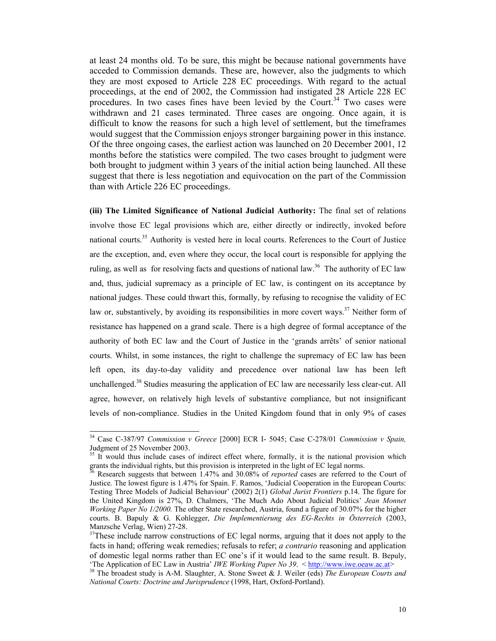at least 24 months old. To be sure, this might be because national governments have acceded to Commission demands. These are, however, also the judgments to which they are most exposed to Article 228 EC proceedings. With regard to the actual proceedings, at the end of 2002, the Commission had instigated 28 Article 228 EC procedures. In two cases fines have been levied by the Court.<sup>34</sup> Two cases were withdrawn and 21 cases terminated. Three cases are ongoing. Once again, it is difficult to know the reasons for such a high level of settlement, but the timeframes would suggest that the Commission enjoys stronger bargaining power in this instance. Of the three ongoing cases, the earliest action was launched on 20 December 2001, 12 months before the statistics were compiled. The two cases brought to judgment were both brought to judgment within 3 years of the initial action being launched. All these suggest that there is less negotiation and equivocation on the part of the Commission than with Article 226 EC proceedings.

**(iii) The Limited Significance of National Judicial Authority:** The final set of relations involve those EC legal provisions which are, either directly or indirectly, invoked before national courts.<sup>35</sup> Authority is vested here in local courts. References to the Court of Justice are the exception, and, even where they occur, the local court is responsible for applying the ruling, as well as for resolving facts and questions of national law.<sup>36</sup> The authority of EC law and, thus, judicial supremacy as a principle of EC law, is contingent on its acceptance by national judges. These could thwart this, formally, by refusing to recognise the validity of EC law or, substantively, by avoiding its responsibilities in more covert ways.<sup>37</sup> Neither form of resistance has happened on a grand scale. There is a high degree of formal acceptance of the authority of both EC law and the Court of Justice in the 'grands arrêts' of senior national courts. Whilst, in some instances, the right to challenge the supremacy of EC law has been left open, its day-to-day validity and precedence over national law has been left unchallenged.<sup>38</sup> Studies measuring the application of EC law are necessarily less clear-cut. All agree, however, on relatively high levels of substantive compliance, but not insignificant levels of non-compliance. Studies in the United Kingdom found that in only 9% of cases

<sup>34</sup> Case C-387/97 *Commission v Greece* [2000] ECR I- 5045; Case C-278/01 *Commission v Spain,* Judgment of 25 November 2003.

<sup>&</sup>lt;sup>35</sup> It would thus include cases of indirect effect where, formally, it is the national provision which grants the individual rights, but this provision is interpreted in the light of EC legal norms.<br><sup>36</sup> Bescareh avec sets that the light of the light of EC legal norms.

<sup>36</sup> Research suggests that between 1.47% and 30.08% of *reported* cases are referred to the Court of Justice. The lowest figure is 1.47% for Spain. F. Ramos, 'Judicial Cooperation in the European Courts: Testing Three Models of Judicial Behaviour' (2002) 2(1) *Global Jurist Frontiers* p.14. The figure for the United Kingdom is 27%, D. Chalmers, 'The Much Ado About Judicial Politics' *Jean Monnet Working Paper No 1/2000.* The other State researched, Austria, found a figure of 30.07% for the higher courts. B. Bapuly & G. Kohlegger, *Die Implementierung des EG-Rechts in Österreich* (2003, Manzsche Verlag, Wien) 27-28.

<sup>&</sup>lt;sup>37</sup>These include narrow constructions of EC legal norms, arguing that it does not apply to the facts in hand; offering weak remedies; refusals to refer; *a contrario* reasoning and application of domestic legal norms rather than EC one's if it would lead to the same result. B. Bepuly, 'The Application of EC Law in Austria' *IWE Working Paper No 39*.  $\lt$  http://www.iwe.oeaw.ac.at>

<sup>&</sup>lt;sup>38</sup> The broadest study is A-M. Slaughter, A. Stone Sweet & J. Weiler (eds) *The European Courts and National Courts: Doctrine and Jurisprudence* (1998, Hart, Oxford-Portland).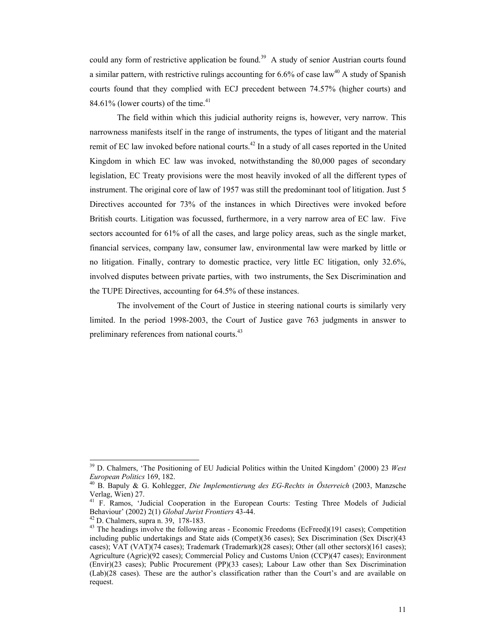could any form of restrictive application be found.<sup>39</sup> A study of senior Austrian courts found a similar pattern, with restrictive rulings accounting for  $6.6\%$  of case law<sup>40</sup> A study of Spanish courts found that they complied with ECJ precedent between 74.57% (higher courts) and 84.61% (lower courts) of the time. $41$ 

 The field within which this judicial authority reigns is, however, very narrow. This narrowness manifests itself in the range of instruments, the types of litigant and the material remit of EC law invoked before national courts.<sup>42</sup> In a study of all cases reported in the United Kingdom in which EC law was invoked, notwithstanding the 80,000 pages of secondary legislation, EC Treaty provisions were the most heavily invoked of all the different types of instrument. The original core of law of 1957 was still the predominant tool of litigation. Just 5 Directives accounted for 73% of the instances in which Directives were invoked before British courts. Litigation was focussed, furthermore, in a very narrow area of EC law. Five sectors accounted for 61% of all the cases, and large policy areas, such as the single market, financial services, company law, consumer law, environmental law were marked by little or no litigation. Finally, contrary to domestic practice, very little EC litigation, only 32.6%, involved disputes between private parties, with two instruments, the Sex Discrimination and the TUPE Directives, accounting for 64.5% of these instances.

The involvement of the Court of Justice in steering national courts is similarly very limited. In the period 1998-2003, the Court of Justice gave 763 judgments in answer to preliminary references from national courts.<sup>43</sup>

<sup>39</sup> D. Chalmers, 'The Positioning of EU Judicial Politics within the United Kingdom' (2000) 23 *West European Politics* 169, 182. 40 B. Bapuly & G. Kohlegger, *Die Implementierung des EG-Rechts in Österreich* (2003, Manzsche

Verlag, Wien) 27.

<sup>41</sup> F. Ramos, 'Judicial Cooperation in the European Courts: Testing Three Models of Judicial Behaviour' (2002) 2(1) *Global Jurist Frontiers* 43-44. 42 D. Chalmers, supra n. 39, 178-183.

<sup>&</sup>lt;sup>43</sup> The headings involve the following areas - Economic Freedoms (EcFreed)(191 cases); Competition including public undertakings and State aids (Compet)(36 cases); Sex Discrimination (Sex Discr)(43 cases); VAT (VAT)(74 cases); Trademark (Trademark)(28 cases); Other (all other sectors)(161 cases); Agriculture (Agric)(92 cases); Commercial Policy and Customs Union (CCP)(47 cases); Environment (Envir)(23 cases); Public Procurement (PP)(33 cases); Labour Law other than Sex Discrimination (Lab)(28 cases). These are the author's classification rather than the Court's and are available on request.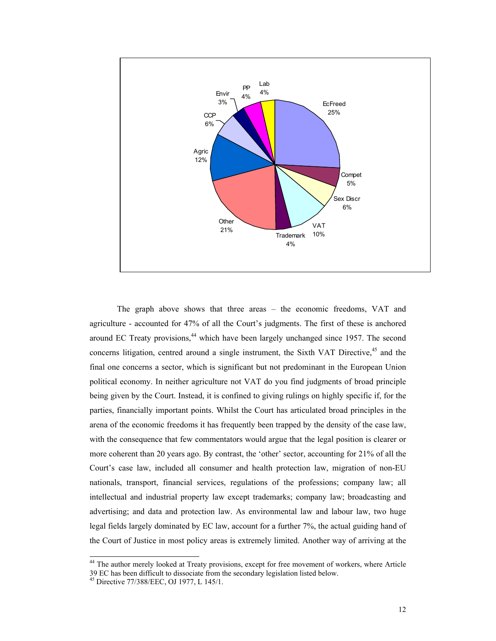

The graph above shows that three areas – the economic freedoms, VAT and agriculture - accounted for 47% of all the Court's judgments. The first of these is anchored around EC Treaty provisions, $44$  which have been largely unchanged since 1957. The second concerns litigation, centred around a single instrument, the Sixth VAT Directive,<sup>45</sup> and the final one concerns a sector, which is significant but not predominant in the European Union political economy. In neither agriculture not VAT do you find judgments of broad principle being given by the Court. Instead, it is confined to giving rulings on highly specific if, for the parties, financially important points. Whilst the Court has articulated broad principles in the arena of the economic freedoms it has frequently been trapped by the density of the case law, with the consequence that few commentators would argue that the legal position is clearer or more coherent than 20 years ago. By contrast, the 'other' sector, accounting for 21% of all the Court's case law, included all consumer and health protection law, migration of non-EU nationals, transport, financial services, regulations of the professions; company law; all intellectual and industrial property law except trademarks; company law; broadcasting and advertising; and data and protection law. As environmental law and labour law, two huge legal fields largely dominated by EC law, account for a further 7%, the actual guiding hand of the Court of Justice in most policy areas is extremely limited. Another way of arriving at the

 $\overline{a}$ 

<sup>&</sup>lt;sup>44</sup> The author merely looked at Treaty provisions, except for free movement of workers, where Article 39 EC has been difficult to dissociate from the secondary legislation listed below.

<sup>45</sup> Directive 77/388/EEC, OJ 1977, L 145/1.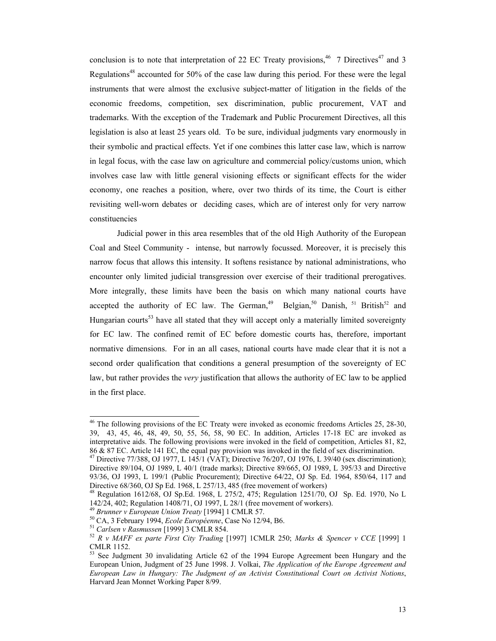conclusion is to note that interpretation of 22 EC Treaty provisions,<sup>46</sup> 7 Directives<sup>47</sup> and 3 Regulations<sup>48</sup> accounted for 50% of the case law during this period. For these were the legal instruments that were almost the exclusive subject-matter of litigation in the fields of the economic freedoms, competition, sex discrimination, public procurement, VAT and trademarks. With the exception of the Trademark and Public Procurement Directives, all this legislation is also at least 25 years old. To be sure, individual judgments vary enormously in their symbolic and practical effects. Yet if one combines this latter case law, which is narrow in legal focus, with the case law on agriculture and commercial policy/customs union, which involves case law with little general visioning effects or significant effects for the wider economy, one reaches a position, where, over two thirds of its time, the Court is either revisiting well-worn debates or deciding cases, which are of interest only for very narrow constituencies

 Judicial power in this area resembles that of the old High Authority of the European Coal and Steel Community - intense, but narrowly focussed. Moreover, it is precisely this narrow focus that allows this intensity. It softens resistance by national administrations, who encounter only limited judicial transgression over exercise of their traditional prerogatives. More integrally, these limits have been the basis on which many national courts have accepted the authority of EC law. The German,<sup>49</sup> Belgian,<sup>50</sup> Danish, <sup>51</sup> British<sup>52</sup> and Hungarian courts<sup>53</sup> have all stated that they will accept only a materially limited sovereignty for EC law. The confined remit of EC before domestic courts has, therefore, important normative dimensions. For in an all cases, national courts have made clear that it is not a second order qualification that conditions a general presumption of the sovereignty of EC law, but rather provides the *very* justification that allows the authority of EC law to be applied in the first place.

<sup>&</sup>lt;sup>46</sup> The following provisions of the EC Treaty were invoked as economic freedoms Articles 25, 28-30, 39, 43, 45, 46, 48, 49, 50, 55, 56, 58, 90 EC. In addition, Articles 17-18 EC are invoked as interpretative aids. The following provisions were invoked in the field of competition, Articles 81, 82, 86 & 87 EC. Article 141 EC, the equal pay provision was invoked in the field of sex discrimination.

<sup>&</sup>lt;sup>47</sup> Directive 77/388, OJ 1977, L 145/1 (VAT); Directive 76/207, OJ 1976, L 39/40 (sex discrimination); Directive 89/104, OJ 1989, L 40/1 (trade marks); Directive 89/665, OJ 1989, L 395/33 and Directive 93/36, OJ 1993, L 199/1 (Public Procurement); Directive 64/22, OJ Sp. Ed. 1964, 850/64, 117 and Directive 68/360, OJ Sp Ed. 1968, L 257/13, 485 (free movement of workers)

 $^{48}$  Regulation 1612/68, OJ Sp.Ed. 1968, L 275/2, 475; Regulation 1251/70, OJ Sp. Ed. 1970, No L 142/24, 402; Regulation 1408/71, OJ 1997, L 28/1 (free movement of workers).<br><sup>49</sup> Brunner v European Union Treaty [1994] 1 CMLR 57.

<sup>&</sup>lt;sup>50</sup> CA, 3 February 1994, *Ecole Européenne*, Case No 12/94, B6.<br>
<sup>51</sup> Carlsen v Rasmussen [1999] 3 CMLR 854.<br>
<sup>52</sup> R v MAFF ex parte First City Trading [1997] 1CMLR 250; Marks & Spencer v CCE [1999] 1 CMLR 1152.

<sup>53</sup> See Judgment 30 invalidating Article 62 of the 1994 Europe Agreement been Hungary and the European Union, Judgment of 25 June 1998. J. Volkai, *The Application of the Europe Agreement and European Law in Hungary: The Judgment of an Activist Constitutional Court on Activist Notions*, Harvard Jean Monnet Working Paper 8/99.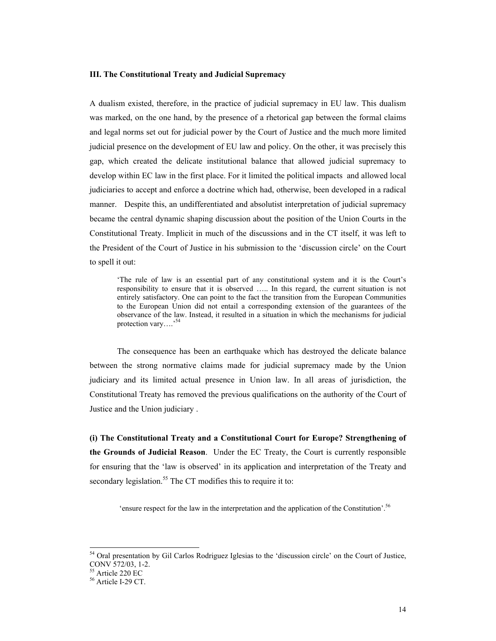#### **III. The Constitutional Treaty and Judicial Supremacy**

A dualism existed, therefore, in the practice of judicial supremacy in EU law. This dualism was marked, on the one hand, by the presence of a rhetorical gap between the formal claims and legal norms set out for judicial power by the Court of Justice and the much more limited judicial presence on the development of EU law and policy. On the other, it was precisely this gap, which created the delicate institutional balance that allowed judicial supremacy to develop within EC law in the first place. For it limited the political impacts and allowed local judiciaries to accept and enforce a doctrine which had, otherwise, been developed in a radical manner. Despite this, an undifferentiated and absolutist interpretation of judicial supremacy became the central dynamic shaping discussion about the position of the Union Courts in the Constitutional Treaty. Implicit in much of the discussions and in the CT itself, it was left to the President of the Court of Justice in his submission to the 'discussion circle' on the Court to spell it out:

'The rule of law is an essential part of any constitutional system and it is the Court's responsibility to ensure that it is observed ….. In this regard, the current situation is not entirely satisfactory. One can point to the fact the transition from the European Communities to the European Union did not entail a corresponding extension of the guarantees of the observance of the law. Instead, it resulted in a situation in which the mechanisms for judicial protection vary….'<sup>54</sup>

The consequence has been an earthquake which has destroyed the delicate balance between the strong normative claims made for judicial supremacy made by the Union judiciary and its limited actual presence in Union law. In all areas of jurisdiction, the Constitutional Treaty has removed the previous qualifications on the authority of the Court of Justice and the Union judiciary .

**(i) The Constitutional Treaty and a Constitutional Court for Europe? Strengthening of the Grounds of Judicial Reason**. Under the EC Treaty, the Court is currently responsible for ensuring that the 'law is observed' in its application and interpretation of the Treaty and secondary legislation.<sup>55</sup> The CT modifies this to require it to:

'ensure respect for the law in the interpretation and the application of the Constitution'.56

 $\overline{a}$ 

<sup>&</sup>lt;sup>54</sup> Oral presentation by Gil Carlos Rodriguez Iglesias to the 'discussion circle' on the Court of Justice, CONV 572/03, 1-2.

<sup>55</sup> Article 220 EC

 $56$  Article I-29 CT.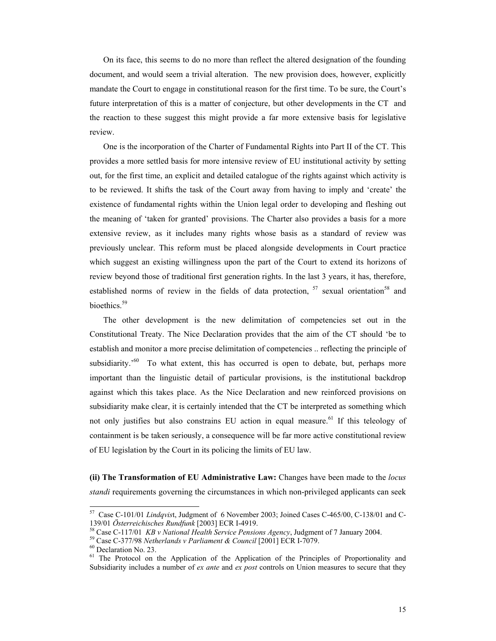On its face, this seems to do no more than reflect the altered designation of the founding document, and would seem a trivial alteration. The new provision does, however, explicitly mandate the Court to engage in constitutional reason for the first time. To be sure, the Court's future interpretation of this is a matter of conjecture, but other developments in the CT and the reaction to these suggest this might provide a far more extensive basis for legislative review.

One is the incorporation of the Charter of Fundamental Rights into Part II of the CT. This provides a more settled basis for more intensive review of EU institutional activity by setting out, for the first time, an explicit and detailed catalogue of the rights against which activity is to be reviewed. It shifts the task of the Court away from having to imply and 'create' the existence of fundamental rights within the Union legal order to developing and fleshing out the meaning of 'taken for granted' provisions. The Charter also provides a basis for a more extensive review, as it includes many rights whose basis as a standard of review was previously unclear. This reform must be placed alongside developments in Court practice which suggest an existing willingness upon the part of the Court to extend its horizons of review beyond those of traditional first generation rights. In the last 3 years, it has, therefore, established norms of review in the fields of data protection,  $57$  sexual orientation<sup>58</sup> and bioethics.<sup>59</sup>

The other development is the new delimitation of competencies set out in the Constitutional Treaty. The Nice Declaration provides that the aim of the CT should 'be to establish and monitor a more precise delimitation of competencies .. reflecting the principle of subsidiarity.<sup> $60$ </sup> To what extent, this has occurred is open to debate, but, perhaps more important than the linguistic detail of particular provisions, is the institutional backdrop against which this takes place. As the Nice Declaration and new reinforced provisions on subsidiarity make clear, it is certainly intended that the CT be interpreted as something which not only justifies but also constrains EU action in equal measure.<sup>61</sup> If this teleology of containment is be taken seriously, a consequence will be far more active constitutional review of EU legislation by the Court in its policing the limits of EU law.

**(ii) The Transformation of EU Administrative Law:** Changes have been made to the *locus standi* requirements governing the circumstances in which non-privileged applicants can seek

<sup>57</sup> Case C-101/01 *Lindqvis*t, Judgment of 6 November 2003; Joined Cases C-465/00, C-138/01 and C-139/01 Österreichisches Rundfunk [2003] ECR I-4919.<br><sup>58</sup> Case C-117/01 *KB v National Health Service Pensions Agency*, Judgment of 7 January 2004.<br><sup>59</sup> Case C-377/98 *Netherlands v Parliament & Council* [2001] ECR I-7079.

<sup>&</sup>lt;sup>61</sup> The Protocol on the Application of the Application of the Principles of Proportionality and Subsidiarity includes a number of *ex ante* and *ex post* controls on Union measures to secure that they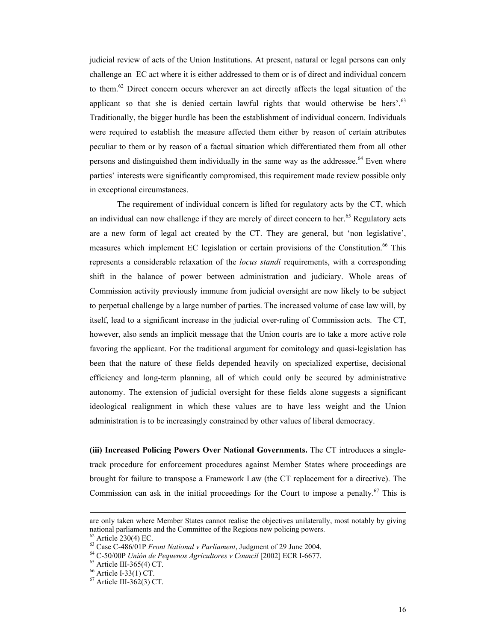judicial review of acts of the Union Institutions. At present, natural or legal persons can only challenge an EC act where it is either addressed to them or is of direct and individual concern to them.<sup>62</sup> Direct concern occurs wherever an act directly affects the legal situation of the applicant so that she is denied certain lawful rights that would otherwise be hers'. $63$ Traditionally, the bigger hurdle has been the establishment of individual concern. Individuals were required to establish the measure affected them either by reason of certain attributes peculiar to them or by reason of a factual situation which differentiated them from all other persons and distinguished them individually in the same way as the addressee.<sup>64</sup> Even where parties' interests were significantly compromised, this requirement made review possible only in exceptional circumstances.

The requirement of individual concern is lifted for regulatory acts by the CT, which an individual can now challenge if they are merely of direct concern to her.<sup>65</sup> Regulatory acts are a new form of legal act created by the CT. They are general, but 'non legislative', measures which implement EC legislation or certain provisions of the Constitution.<sup>66</sup> This represents a considerable relaxation of the *locus standi* requirements, with a corresponding shift in the balance of power between administration and judiciary. Whole areas of Commission activity previously immune from judicial oversight are now likely to be subject to perpetual challenge by a large number of parties. The increased volume of case law will, by itself, lead to a significant increase in the judicial over-ruling of Commission acts. The CT, however, also sends an implicit message that the Union courts are to take a more active role favoring the applicant. For the traditional argument for comitology and quasi-legislation has been that the nature of these fields depended heavily on specialized expertise, decisional efficiency and long-term planning, all of which could only be secured by administrative autonomy. The extension of judicial oversight for these fields alone suggests a significant ideological realignment in which these values are to have less weight and the Union administration is to be increasingly constrained by other values of liberal democracy.

**(iii) Increased Policing Powers Over National Governments.** The CT introduces a singletrack procedure for enforcement procedures against Member States where proceedings are brought for failure to transpose a Framework Law (the CT replacement for a directive). The Commission can ask in the initial proceedings for the Court to impose a penalty.<sup>67</sup> This is

are only taken where Member States cannot realise the objectives unilaterally, most notably by giving national parliaments and the Committee of the Regions new policing powers.

 $^{62}$  Article 230(4) EC.<br> $^{63}$  Case C-486/01P *Front National v Parliament*, Judgment of 29 June 2004.

<sup>&</sup>lt;sup>64</sup> C-50/00P *Unión de Pequenos Agricultores v Council* [2002] ECR I-6677.<br><sup>65</sup> Article III-365(4) CT.

 $66$  Article I-33(1) CT.

 $67$  Article III-362(3) CT.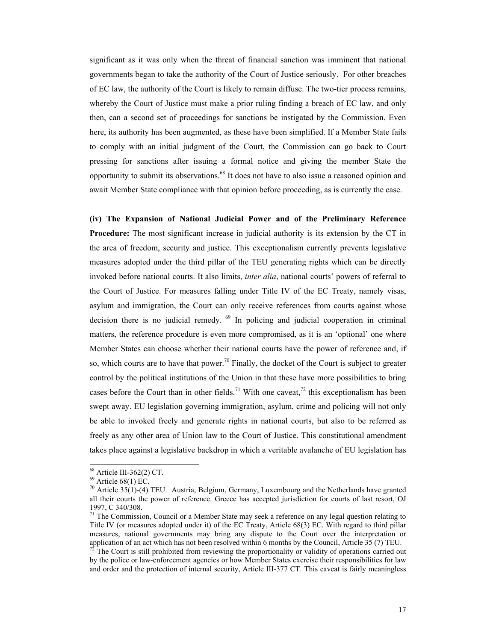significant as it was only when the threat of financial sanction was imminent that national governments began to take the authority of the Court of Justice seriously. For other breaches of EC law, the authority of the Court is likely to remain diffuse. The two-tier process remains, whereby the Court of Justice must make a prior ruling finding a breach of EC law, and only then, can a second set of proceedings for sanctions be instigated by the Commission. Even here, its authority has been augmented, as these have been simplified. If a Member State fails to comply with an initial judgment of the Court, the Commission can go back to Court pressing for sanctions after issuing a formal notice and giving the member State the opportunity to submit its observations.<sup>68</sup> It does not have to also issue a reasoned opinion and await Member State compliance with that opinion before proceeding, as is currently the case.

**(iv) The Expansion of National Judicial Power and of the Preliminary Reference Procedure:** The most significant increase in judicial authority is its extension by the CT in the area of freedom, security and justice. This exceptionalism currently prevents legislative measures adopted under the third pillar of the TEU generating rights which can be directly invoked before national courts. It also limits, *inter alia*, national courts' powers of referral to the Court of Justice. For measures falling under Title IV of the EC Treaty, namely visas, asylum and immigration, the Court can only receive references from courts against whose decision there is no judicial remedy. <sup>69</sup> In policing and judicial cooperation in criminal matters, the reference procedure is even more compromised, as it is an 'optional' one where Member States can choose whether their national courts have the power of reference and, if so, which courts are to have that power.<sup>70</sup> Finally, the docket of the Court is subject to greater control by the political institutions of the Union in that these have more possibilities to bring cases before the Court than in other fields.<sup>71</sup> With one caveat,<sup>72</sup> this exceptionalism has been swept away. EU legislation governing immigration, asylum, crime and policing will not only be able to invoked freely and generate rights in national courts, but also to be referred as freely as any other area of Union law to the Court of Justice. This constitutional amendment takes place against a legislative backdrop in which a veritable avalanche of EU legislation has

<sup>&</sup>lt;sup>68</sup> Article III-362(2) CT.

 $69$  Article  $68(1)$  EC.

<sup>&</sup>lt;sup>70</sup> Article 35(1)-(4) TEU. Austria, Belgium, Germany, Luxembourg and the Netherlands have granted all their courts the power of reference. Greece has accepted jurisdiction for courts of last resort, OJ 1997, C 340/308.

 $71$  The Commission, Council or a Member State may seek a reference on any legal question relating to Title IV (or measures adopted under it) of the EC Treaty, Article 68(3) EC. With regard to third pillar measures, national governments may bring any dispute to the Court over the interpretation or application of an act which has not been resolved within 6 months by the Council, Article 35 (7) TEU.

 $72$ <sup>72</sup> The Court is still prohibited from reviewing the proportionality or validity of operations carried out by the police or law-enforcement agencies or how Member States exercise their responsibilities for law and order and the protection of internal security, Article III-377 CT. This caveat is fairly meaningless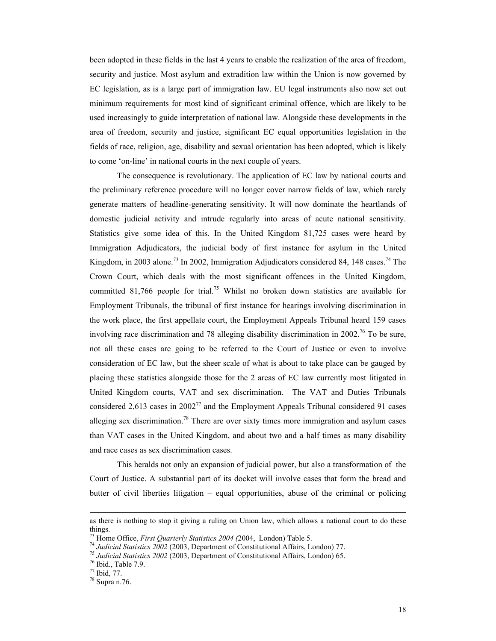been adopted in these fields in the last 4 years to enable the realization of the area of freedom, security and justice. Most asylum and extradition law within the Union is now governed by EC legislation, as is a large part of immigration law. EU legal instruments also now set out minimum requirements for most kind of significant criminal offence, which are likely to be used increasingly to guide interpretation of national law. Alongside these developments in the area of freedom, security and justice, significant EC equal opportunities legislation in the fields of race, religion, age, disability and sexual orientation has been adopted, which is likely to come 'on-line' in national courts in the next couple of years.

The consequence is revolutionary. The application of EC law by national courts and the preliminary reference procedure will no longer cover narrow fields of law, which rarely generate matters of headline-generating sensitivity. It will now dominate the heartlands of domestic judicial activity and intrude regularly into areas of acute national sensitivity. Statistics give some idea of this. In the United Kingdom 81,725 cases were heard by Immigration Adjudicators, the judicial body of first instance for asylum in the United Kingdom, in 2003 alone.<sup>73</sup> In 2002, Immigration Adjudicators considered 84, 148 cases.<sup>74</sup> The Crown Court, which deals with the most significant offences in the United Kingdom, committed 81,766 people for trial.<sup>75</sup> Whilst no broken down statistics are available for Employment Tribunals, the tribunal of first instance for hearings involving discrimination in the work place, the first appellate court, the Employment Appeals Tribunal heard 159 cases involving race discrimination and 78 alleging disability discrimination in 2002.<sup>76</sup> To be sure, not all these cases are going to be referred to the Court of Justice or even to involve consideration of EC law, but the sheer scale of what is about to take place can be gauged by placing these statistics alongside those for the 2 areas of EC law currently most litigated in United Kingdom courts, VAT and sex discrimination. The VAT and Duties Tribunals considered 2,613 cases in  $2002^{77}$  and the Employment Appeals Tribunal considered 91 cases alleging sex discrimination.<sup>78</sup> There are over sixty times more immigration and asylum cases than VAT cases in the United Kingdom, and about two and a half times as many disability and race cases as sex discrimination cases.

This heralds not only an expansion of judicial power, but also a transformation of the Court of Justice. A substantial part of its docket will involve cases that form the bread and butter of civil liberties litigation – equal opportunities, abuse of the criminal or policing

as there is nothing to stop it giving a ruling on Union law, which allows a national court to do these things.<br><sup>73</sup> Home Office, *First Quarterly Statistics 2004 (2004*, London) Table 5.

<sup>&</sup>lt;sup>74</sup> Judicial Statistics 2002 (2003, Department of Constitutional Affairs, London) 77.<br><sup>75</sup> Judicial Statistics 2002 (2003, Department of Constitutional Affairs, London) 65.<br><sup>76</sup> Ibid.. Table 7.9.

<sup>77</sup> Ibid, 77.

<sup>78</sup> Supra n.76.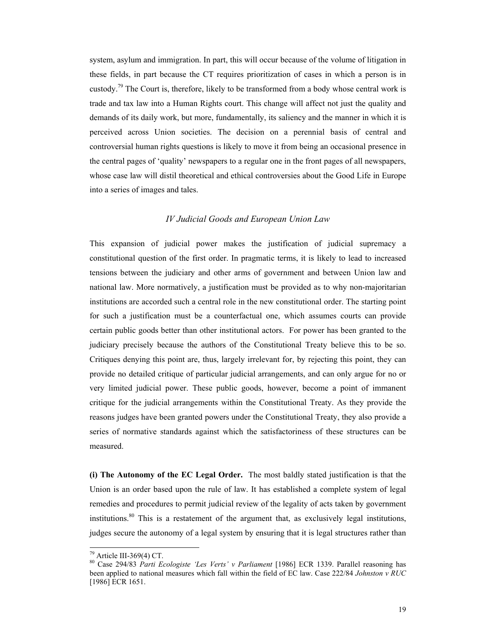system, asylum and immigration. In part, this will occur because of the volume of litigation in these fields, in part because the CT requires prioritization of cases in which a person is in custody.<sup>79</sup> The Court is, therefore, likely to be transformed from a body whose central work is trade and tax law into a Human Rights court. This change will affect not just the quality and demands of its daily work, but more, fundamentally, its saliency and the manner in which it is perceived across Union societies. The decision on a perennial basis of central and controversial human rights questions is likely to move it from being an occasional presence in the central pages of 'quality' newspapers to a regular one in the front pages of all newspapers, whose case law will distil theoretical and ethical controversies about the Good Life in Europe into a series of images and tales.

#### *IV Judicial Goods and European Union Law*

This expansion of judicial power makes the justification of judicial supremacy a constitutional question of the first order. In pragmatic terms, it is likely to lead to increased tensions between the judiciary and other arms of government and between Union law and national law. More normatively, a justification must be provided as to why non-majoritarian institutions are accorded such a central role in the new constitutional order. The starting point for such a justification must be a counterfactual one, which assumes courts can provide certain public goods better than other institutional actors. For power has been granted to the judiciary precisely because the authors of the Constitutional Treaty believe this to be so. Critiques denying this point are, thus, largely irrelevant for, by rejecting this point, they can provide no detailed critique of particular judicial arrangements, and can only argue for no or very limited judicial power. These public goods, however, become a point of immanent critique for the judicial arrangements within the Constitutional Treaty. As they provide the reasons judges have been granted powers under the Constitutional Treaty, they also provide a series of normative standards against which the satisfactoriness of these structures can be measured.

**(i) The Autonomy of the EC Legal Order.** The most baldly stated justification is that the Union is an order based upon the rule of law. It has established a complete system of legal remedies and procedures to permit judicial review of the legality of acts taken by government institutions.80 This is a restatement of the argument that, as exclusively legal institutions, judges secure the autonomy of a legal system by ensuring that it is legal structures rather than

 $\overline{a}$ 

 $79$  Article III-369(4) CT.

<sup>80</sup> Case 294/83 *Parti Ecologiste 'Les Verts' v Parliament* [1986] ECR 1339. Parallel reasoning has been applied to national measures which fall within the field of EC law. Case 222/84 *Johnston v RUC* [1986] ECR 1651.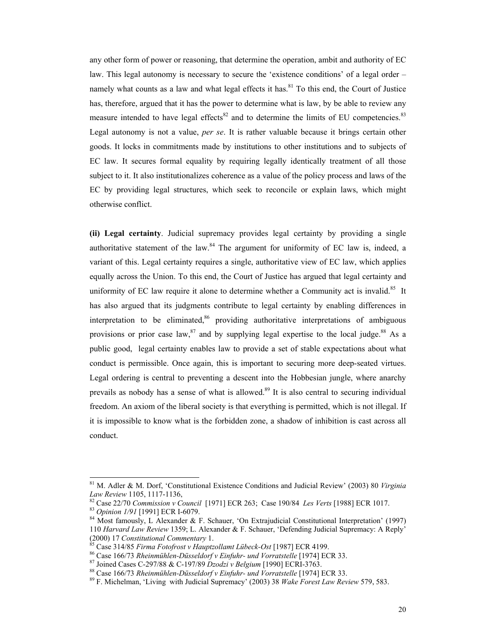any other form of power or reasoning, that determine the operation, ambit and authority of EC law. This legal autonomy is necessary to secure the 'existence conditions' of a legal order – namely what counts as a law and what legal effects it has. $81$  To this end, the Court of Justice has, therefore, argued that it has the power to determine what is law, by be able to review any measure intended to have legal effects<sup>82</sup> and to determine the limits of EU competencies.<sup>83</sup> Legal autonomy is not a value, *per se*. It is rather valuable because it brings certain other goods. It locks in commitments made by institutions to other institutions and to subjects of EC law. It secures formal equality by requiring legally identically treatment of all those subject to it. It also institutionalizes coherence as a value of the policy process and laws of the EC by providing legal structures, which seek to reconcile or explain laws, which might otherwise conflict.

**(ii) Legal certainty**. Judicial supremacy provides legal certainty by providing a single authoritative statement of the law.<sup>84</sup> The argument for uniformity of EC law is, indeed, a variant of this. Legal certainty requires a single, authoritative view of EC law, which applies equally across the Union. To this end, the Court of Justice has argued that legal certainty and uniformity of EC law require it alone to determine whether a Community act is invalid.<sup>85</sup> It has also argued that its judgments contribute to legal certainty by enabling differences in interpretation to be eliminated, $86$  providing authoritative interpretations of ambiguous provisions or prior case law,  $87$  and by supplying legal expertise to the local judge.  $88$  As a public good, legal certainty enables law to provide a set of stable expectations about what conduct is permissible. Once again, this is important to securing more deep-seated virtues. Legal ordering is central to preventing a descent into the Hobbesian jungle, where anarchy prevails as nobody has a sense of what is allowed.<sup>89</sup> It is also central to securing individual freedom. An axiom of the liberal society is that everything is permitted, which is not illegal. If it is impossible to know what is the forbidden zone, a shadow of inhibition is cast across all conduct.

<sup>81</sup> M. Adler & M. Dorf, 'Constitutional Existence Conditions and Judicial Review' (2003) 80 *Virginia*  Law Review 1105, 1117-1136,<br>
<sup>82</sup> Case 22/70 Commission v Council [1971] ECR 263; Case 190/84 Les Verts [1988] ECR 1017.<br>
<sup>83</sup> Opinion 1/91 [1991] ECR 1-6079.<br>
<sup>84</sup> Most famously, L Alexander & F. Schauer, 'On Extrajudici

<sup>110</sup> *Harvard Law Review* 1359; L. Alexander & F. Schauer, 'Defending Judicial Supremacy: A Reply'<br>(2000) 17 *Constitutional Commentary* 1.<br><sup>85</sup> Case 314/85 Figure First Commentary 1.

<sup>&</sup>lt;sup>85</sup> Case 314/85 Firma Fotofrost v Hauptzollamt Lübeck-Ost [1987] ECR 4199.<br><sup>86</sup> Case 166/73 Rheinmühlen-Düsseldorf v Einfuhr- und Vorratstelle [1974] ECR 33.<br><sup>87</sup> Joined Cases C-297/88 & C-197/89 Dzodzi v Belgium [1990]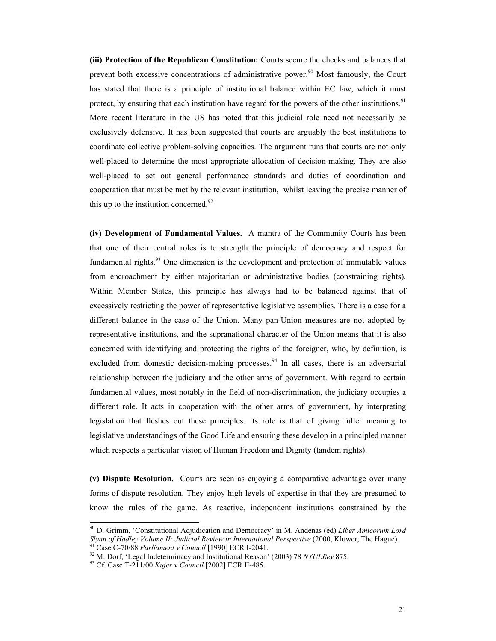**(iii) Protection of the Republican Constitution:** Courts secure the checks and balances that prevent both excessive concentrations of administrative power.<sup>90</sup> Most famously, the Court has stated that there is a principle of institutional balance within EC law, which it must protect, by ensuring that each institution have regard for the powers of the other institutions.<sup>91</sup> More recent literature in the US has noted that this judicial role need not necessarily be exclusively defensive. It has been suggested that courts are arguably the best institutions to coordinate collective problem-solving capacities. The argument runs that courts are not only well-placed to determine the most appropriate allocation of decision-making. They are also well-placed to set out general performance standards and duties of coordination and cooperation that must be met by the relevant institution, whilst leaving the precise manner of this up to the institution concerned.<sup>92</sup>

**(iv) Development of Fundamental Values.** A mantra of the Community Courts has been that one of their central roles is to strength the principle of democracy and respect for fundamental rights. $93$  One dimension is the development and protection of immutable values from encroachment by either majoritarian or administrative bodies (constraining rights). Within Member States, this principle has always had to be balanced against that of excessively restricting the power of representative legislative assemblies. There is a case for a different balance in the case of the Union. Many pan-Union measures are not adopted by representative institutions, and the supranational character of the Union means that it is also concerned with identifying and protecting the rights of the foreigner, who, by definition, is excluded from domestic decision-making processes.<sup>94</sup> In all cases, there is an adversarial relationship between the judiciary and the other arms of government. With regard to certain fundamental values, most notably in the field of non-discrimination, the judiciary occupies a different role. It acts in cooperation with the other arms of government, by interpreting legislation that fleshes out these principles. Its role is that of giving fuller meaning to legislative understandings of the Good Life and ensuring these develop in a principled manner which respects a particular vision of Human Freedom and Dignity (tandem rights).

**(v) Dispute Resolution.** Courts are seen as enjoying a comparative advantage over many forms of dispute resolution. They enjoy high levels of expertise in that they are presumed to know the rules of the game. As reactive, independent institutions constrained by the

<sup>90</sup> D. Grimm, 'Constitutional Adjudication and Democracy' in M. Andenas (ed) *Liber Amicorum Lord*  Slynn of Hadley Volume II: Judicial Review in International Perspective (2000, Kluwer, The Hague).<br><sup>91</sup> Case C-70/88 Parliament v Council [1990] ECR I-2041.<br><sup>92</sup> M. Dorf, 'Legal Indeterminacy and Institutional Reason' (20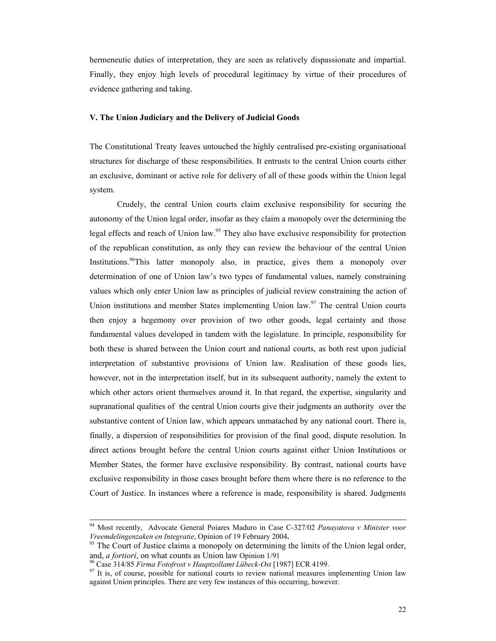hermeneutic duties of interpretation, they are seen as relatively dispassionate and impartial. Finally, they enjoy high levels of procedural legitimacy by virtue of their procedures of evidence gathering and taking.

#### **V. The Union Judiciary and the Delivery of Judicial Goods**

The Constitutional Treaty leaves untouched the highly centralised pre-existing organisational structures for discharge of these responsibilities. It entrusts to the central Union courts either an exclusive, dominant or active role for delivery of all of these goods within the Union legal system.

Crudely, the central Union courts claim exclusive responsibility for securing the autonomy of the Union legal order, insofar as they claim a monopoly over the determining the legal effects and reach of Union law.<sup>95</sup> They also have exclusive responsibility for protection of the republican constitution, as only they can review the behaviour of the central Union Institutions.<sup>96</sup>This latter monopoly also, in practice, gives them a monopoly over determination of one of Union law's two types of fundamental values, namely constraining values which only enter Union law as principles of judicial review constraining the action of Union institutions and member States implementing Union law.<sup>97</sup> The central Union courts then enjoy a hegemony over provision of two other goods, legal certainty and those fundamental values developed in tandem with the legislature. In principle, responsibility for both these is shared between the Union court and national courts, as both rest upon judicial interpretation of substantive provisions of Union law. Realisation of these goods lies, however, not in the interpretation itself, but in its subsequent authority, namely the extent to which other actors orient themselves around it. In that regard, the expertise, singularity and supranational qualities of the central Union courts give their judgments an authority over the substantive content of Union law, which appears unmatached by any national court. There is, finally, a dispersion of responsibilities for provision of the final good, dispute resolution. In direct actions brought before the central Union courts against either Union Institutions or Member States, the former have exclusive responsibility. By contrast, national courts have exclusive responsibility in those cases brought before them where there is no reference to the Court of Justice. In instances where a reference is made, responsibility is shared. Judgments

 <sup>94</sup> Most recently, Advocate General Poiares Maduro in Case C-327/02 *Panayatova v Minister voor Vreemdelingenzaken en Integratie*, Opinion of 19 February 2004**.**

<sup>&</sup>lt;sup>95</sup> The Court of Justice claims a monopoly on determining the limits of the Union legal order, and, *a fortiori*, on what counts as Union law Opinion 1/91<br><sup>96</sup> Case 314/85 *Firma Fotofrost v Hauptzollamt Lübeck-Ost* [1987] ECR 4199.<br><sup>97</sup> It is, of course, possible for national courts to review national measures imp

against Union principles. There are very few instances of this occurring, however.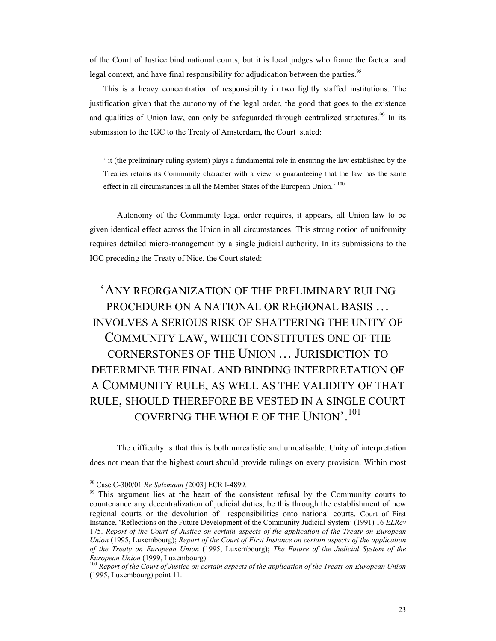of the Court of Justice bind national courts, but it is local judges who frame the factual and legal context, and have final responsibility for adjudication between the parties.<sup>98</sup>

This is a heavy concentration of responsibility in two lightly staffed institutions. The justification given that the autonomy of the legal order, the good that goes to the existence and qualities of Union law, can only be safeguarded through centralized structures.<sup>99</sup> In its submission to the IGC to the Treaty of Amsterdam, the Court stated:

' it (the preliminary ruling system) plays a fundamental role in ensuring the law established by the Treaties retains its Community character with a view to guaranteeing that the law has the same effect in all circumstances in all the Member States of the European Union.' <sup>100</sup>

 Autonomy of the Community legal order requires, it appears, all Union law to be given identical effect across the Union in all circumstances. This strong notion of uniformity requires detailed micro-management by a single judicial authority. In its submissions to the IGC preceding the Treaty of Nice, the Court stated:

## 'ANY REORGANIZATION OF THE PRELIMINARY RULING PROCEDURE ON A NATIONAL OR REGIONAL BASIS … INVOLVES A SERIOUS RISK OF SHATTERING THE UNITY OF COMMUNITY LAW, WHICH CONSTITUTES ONE OF THE CORNERSTONES OF THE UNION … JURISDICTION TO DETERMINE THE FINAL AND BINDING INTERPRETATION OF A COMMUNITY RULE, AS WELL AS THE VALIDITY OF THAT RULE, SHOULD THEREFORE BE VESTED IN A SINGLE COURT COVERING THE WHOLE OF THE UNION'.<sup>101</sup>

The difficulty is that this is both unrealistic and unrealisable. Unity of interpretation does not mean that the highest court should provide rulings on every provision. Within most

<sup>&</sup>lt;sup>98</sup> Case C-300/01 *Re Salzmann* [2003] ECR I-4899.<br><sup>99</sup> This argument lies at the heart of the consistent refusal by the Community courts to countenance any decentralization of judicial duties, be this through the establishment of new regional courts or the devolution of responsibilities onto national courts. Court of First Instance, 'Reflections on the Future Development of the Community Judicial System' (1991) 16 *ELRev* 175. *Report of the Court of Justice on certain aspects of the application of the Treaty on European Union* (1995, Luxembourg); *Report of the Court of First Instance on certain aspects of the application of the Treaty on European Union* (1995, Luxembourg); *The Future of the Judicial System of the European Union* (1999, Luxembourg).<br><sup>100</sup> *Report of the Court of Justice on certain aspects of the application of the Treaty on European Union* 

<sup>(1995,</sup> Luxembourg) point 11.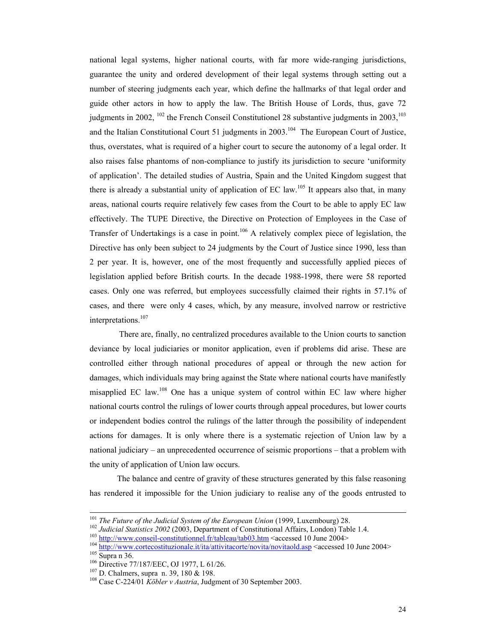national legal systems, higher national courts, with far more wide-ranging jurisdictions, guarantee the unity and ordered development of their legal systems through setting out a number of steering judgments each year, which define the hallmarks of that legal order and guide other actors in how to apply the law. The British House of Lords, thus, gave 72 judgments in 2002,  $^{102}$  the French Conseil Constitutionel 28 substantive judgments in 2003,  $^{103}$ and the Italian Constitutional Court 51 judgments in 2003.<sup>104</sup> The European Court of Justice, thus, overstates, what is required of a higher court to secure the autonomy of a legal order. It also raises false phantoms of non-compliance to justify its jurisdiction to secure 'uniformity of application'. The detailed studies of Austria, Spain and the United Kingdom suggest that there is already a substantial unity of application of EC law.<sup>105</sup> It appears also that, in many areas, national courts require relatively few cases from the Court to be able to apply EC law effectively. The TUPE Directive, the Directive on Protection of Employees in the Case of Transfer of Undertakings is a case in point.<sup>106</sup> A relatively complex piece of legislation, the Directive has only been subject to 24 judgments by the Court of Justice since 1990, less than 2 per year. It is, however, one of the most frequently and successfully applied pieces of legislation applied before British courts. In the decade 1988-1998, there were 58 reported cases. Only one was referred, but employees successfully claimed their rights in 57.1% of cases, and there were only 4 cases, which, by any measure, involved narrow or restrictive interpretations.107

 There are, finally, no centralized procedures available to the Union courts to sanction deviance by local judiciaries or monitor application, even if problems did arise. These are controlled either through national procedures of appeal or through the new action for damages, which individuals may bring against the State where national courts have manifestly misapplied EC law.108 One has a unique system of control within EC law where higher national courts control the rulings of lower courts through appeal procedures, but lower courts or independent bodies control the rulings of the latter through the possibility of independent actions for damages. It is only where there is a systematic rejection of Union law by a national judiciary – an unprecedented occurrence of seismic proportions – that a problem with the unity of application of Union law occurs.

The balance and centre of gravity of these structures generated by this false reasoning has rendered it impossible for the Union judiciary to realise any of the goods entrusted to

<sup>&</sup>lt;sup>101</sup> The Future of the Judicial System of the European Union (1999, Luxembourg) 28.<br><sup>102</sup> Judicial Statistics 2002 (2003, Department of Constitutional Affairs, London) Table 1.4.<br><sup>103</sup> http://www.conseil-constitutionnel.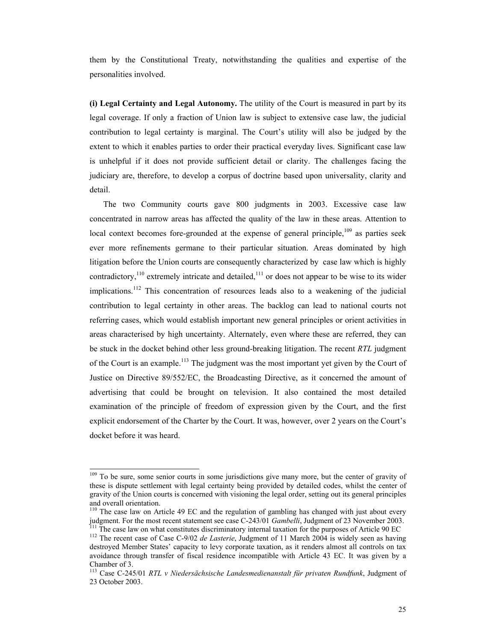them by the Constitutional Treaty, notwithstanding the qualities and expertise of the personalities involved.

**(i) Legal Certainty and Legal Autonomy.** The utility of the Court is measured in part by its legal coverage. If only a fraction of Union law is subject to extensive case law, the judicial contribution to legal certainty is marginal. The Court's utility will also be judged by the extent to which it enables parties to order their practical everyday lives. Significant case law is unhelpful if it does not provide sufficient detail or clarity. The challenges facing the judiciary are, therefore, to develop a corpus of doctrine based upon universality, clarity and detail.

The two Community courts gave 800 judgments in 2003. Excessive case law concentrated in narrow areas has affected the quality of the law in these areas. Attention to local context becomes fore-grounded at the expense of general principle, $109$  as parties seek ever more refinements germane to their particular situation. Areas dominated by high litigation before the Union courts are consequently characterized by case law which is highly contradictory,<sup>110</sup> extremely intricate and detailed,<sup>111</sup> or does not appear to be wise to its wider implications.<sup>112</sup> This concentration of resources leads also to a weakening of the judicial contribution to legal certainty in other areas. The backlog can lead to national courts not referring cases, which would establish important new general principles or orient activities in areas characterised by high uncertainty. Alternately, even where these are referred, they can be stuck in the docket behind other less ground-breaking litigation. The recent *RTL* judgment of the Court is an example.<sup>113</sup> The judgment was the most important yet given by the Court of Justice on Directive 89/552/EC, the Broadcasting Directive, as it concerned the amount of advertising that could be brought on television. It also contained the most detailed examination of the principle of freedom of expression given by the Court, and the first explicit endorsement of the Charter by the Court. It was, however, over 2 years on the Court's docket before it was heard.

<sup>&</sup>lt;sup>109</sup> To be sure, some senior courts in some jurisdictions give many more, but the center of gravity of these is dispute settlement with legal certainty being provided by detailed codes, whilst the center of gravity of the Union courts is concerned with visioning the legal order, setting out its general principles and overall orientation.

<sup>&</sup>lt;sup>110</sup> The case law on Article 49 EC and the regulation of gambling has changed with just about every judgment. For the most recent statement see case C-243/01 *Gambelli*, Judgment of 23 November 2003.

<sup>&</sup>lt;sup>111</sup> The case law on what constitutes discriminatory internal taxation for the purposes of Article 90 EC <sup>112</sup> The recent case of Case C-9/02 *de Lasterie*, Judgment of 11 March 2004 is widely seen as having destroyed Member States' capacity to levy corporate taxation, as it renders almost all controls on tax avoidance through transfer of fiscal residence incompatible with Article 43 EC. It was given by a Chamber of 3.

<sup>113</sup> Case C-245/01 *RTL v Niedersächsische Landesmedienanstalt für privaten Rundfunk*, Judgment of 23 October 2003.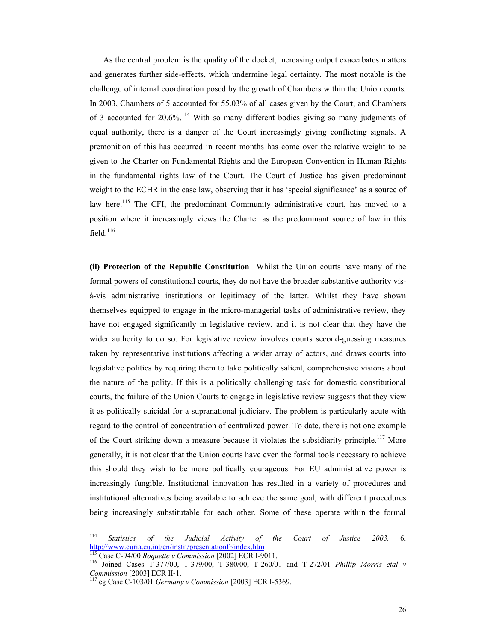As the central problem is the quality of the docket, increasing output exacerbates matters and generates further side-effects, which undermine legal certainty. The most notable is the challenge of internal coordination posed by the growth of Chambers within the Union courts. In 2003, Chambers of 5 accounted for 55.03% of all cases given by the Court, and Chambers of 3 accounted for 20.6%.<sup>114</sup> With so many different bodies giving so many judgments of equal authority, there is a danger of the Court increasingly giving conflicting signals. A premonition of this has occurred in recent months has come over the relative weight to be given to the Charter on Fundamental Rights and the European Convention in Human Rights in the fundamental rights law of the Court. The Court of Justice has given predominant weight to the ECHR in the case law, observing that it has 'special significance' as a source of law here.<sup>115</sup> The CFI, the predominant Community administrative court, has moved to a position where it increasingly views the Charter as the predominant source of law in this field $116$ 

**(ii) Protection of the Republic Constitution** Whilst the Union courts have many of the formal powers of constitutional courts, they do not have the broader substantive authority visà-vis administrative institutions or legitimacy of the latter. Whilst they have shown themselves equipped to engage in the micro-managerial tasks of administrative review, they have not engaged significantly in legislative review, and it is not clear that they have the wider authority to do so. For legislative review involves courts second-guessing measures taken by representative institutions affecting a wider array of actors, and draws courts into legislative politics by requiring them to take politically salient, comprehensive visions about the nature of the polity. If this is a politically challenging task for domestic constitutional courts, the failure of the Union Courts to engage in legislative review suggests that they view it as politically suicidal for a supranational judiciary. The problem is particularly acute with regard to the control of concentration of centralized power. To date, there is not one example of the Court striking down a measure because it violates the subsidiarity principle.<sup>117</sup> More generally, it is not clear that the Union courts have even the formal tools necessary to achieve this should they wish to be more politically courageous. For EU administrative power is increasingly fungible. Institutional innovation has resulted in a variety of procedures and institutional alternatives being available to achieve the same goal, with different procedures being increasingly substitutable for each other. Some of these operate within the formal

<sup>114</sup> <sup>114</sup> *Statistics of the Judicial Activity of the Court of Justice 2003,* 6. http://www.curia.eu.int/en/instit/presentationfr/index.htm 115 Case C-94/00 *Roquette v Commission* [2002] ECR I-9011. 116 Joined Cases T-377/00, T-379/00, T-380/00, T-260/01 and T-272/01 *Phillip Morris etal v* 

*Commission* [2003] ECR II-1.<br><sup>117</sup> eg Case C-103/01 *Germany v Commission* [2003] ECR I-5369.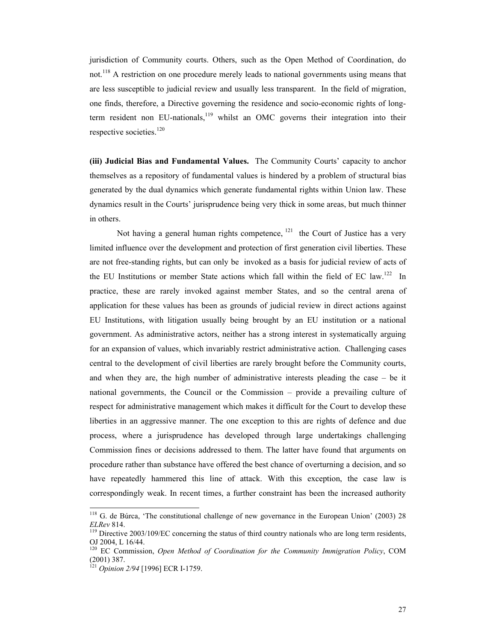jurisdiction of Community courts. Others, such as the Open Method of Coordination, do not.<sup>118</sup> A restriction on one procedure merely leads to national governments using means that are less susceptible to judicial review and usually less transparent. In the field of migration, one finds, therefore, a Directive governing the residence and socio-economic rights of longterm resident non EU-nationals, $119$  whilst an OMC governs their integration into their respective societies.<sup>120</sup>

**(iii) Judicial Bias and Fundamental Values.** The Community Courts' capacity to anchor themselves as a repository of fundamental values is hindered by a problem of structural bias generated by the dual dynamics which generate fundamental rights within Union law. These dynamics result in the Courts' jurisprudence being very thick in some areas, but much thinner in others.

Not having a general human rights competence,  $121$  the Court of Justice has a very limited influence over the development and protection of first generation civil liberties. These are not free-standing rights, but can only be invoked as a basis for judicial review of acts of the EU Institutions or member State actions which fall within the field of EC law.<sup>122</sup> In practice, these are rarely invoked against member States, and so the central arena of application for these values has been as grounds of judicial review in direct actions against EU Institutions, with litigation usually being brought by an EU institution or a national government. As administrative actors, neither has a strong interest in systematically arguing for an expansion of values, which invariably restrict administrative action. Challenging cases central to the development of civil liberties are rarely brought before the Community courts, and when they are, the high number of administrative interests pleading the case – be it national governments, the Council or the Commission – provide a prevailing culture of respect for administrative management which makes it difficult for the Court to develop these liberties in an aggressive manner. The one exception to this are rights of defence and due process, where a jurisprudence has developed through large undertakings challenging Commission fines or decisions addressed to them. The latter have found that arguments on procedure rather than substance have offered the best chance of overturning a decision, and so have repeatedly hammered this line of attack. With this exception, the case law is correspondingly weak. In recent times, a further constraint has been the increased authority

 $\overline{a}$ 

<sup>&</sup>lt;sup>118</sup> G. de Búrca, 'The constitutional challenge of new governance in the European Union' (2003) 28 *ELRev* 814.<br><sup>119</sup> Directive 2003/109/EC concerning the status of third country nationals who are long term residents,

OJ 2004, L 16/44.

<sup>120</sup> EC Commission, *Open Method of Coordination for the Community Immigration Policy*, COM (2001) 387.

<sup>121</sup> *Opinion 2/94* [1996] ECR I-1759.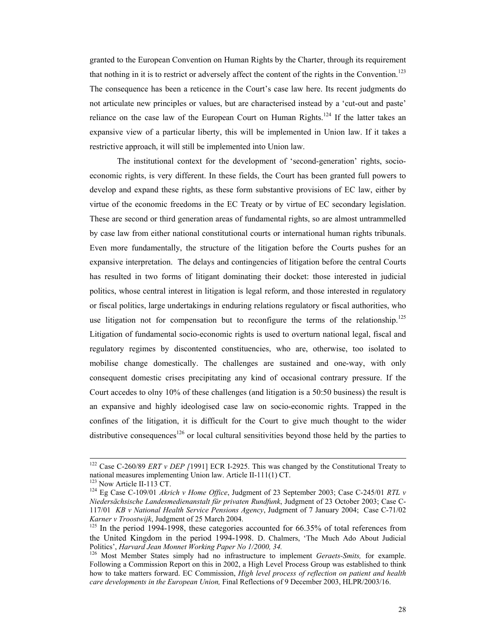granted to the European Convention on Human Rights by the Charter, through its requirement that nothing in it is to restrict or adversely affect the content of the rights in the Convention.<sup>123</sup> The consequence has been a reticence in the Court's case law here. Its recent judgments do not articulate new principles or values, but are characterised instead by a 'cut-out and paste' reliance on the case law of the European Court on Human Rights.<sup>124</sup> If the latter takes an expansive view of a particular liberty, this will be implemented in Union law. If it takes a restrictive approach, it will still be implemented into Union law.

The institutional context for the development of 'second-generation' rights, socioeconomic rights, is very different. In these fields, the Court has been granted full powers to develop and expand these rights, as these form substantive provisions of EC law, either by virtue of the economic freedoms in the EC Treaty or by virtue of EC secondary legislation. These are second or third generation areas of fundamental rights, so are almost untrammelled by case law from either national constitutional courts or international human rights tribunals. Even more fundamentally, the structure of the litigation before the Courts pushes for an expansive interpretation. The delays and contingencies of litigation before the central Courts has resulted in two forms of litigant dominating their docket: those interested in judicial politics, whose central interest in litigation is legal reform, and those interested in regulatory or fiscal politics, large undertakings in enduring relations regulatory or fiscal authorities, who use litigation not for compensation but to reconfigure the terms of the relationship.<sup>125</sup> Litigation of fundamental socio-economic rights is used to overturn national legal, fiscal and regulatory regimes by discontented constituencies, who are, otherwise, too isolated to mobilise change domestically. The challenges are sustained and one-way, with only consequent domestic crises precipitating any kind of occasional contrary pressure. If the Court accedes to olny 10% of these challenges (and litigation is a 50:50 business) the result is an expansive and highly ideologised case law on socio-economic rights. Trapped in the confines of the litigation, it is difficult for the Court to give much thought to the wider distributive consequences<sup>126</sup> or local cultural sensitivities beyond those held by the parties to

<sup>&</sup>lt;sup>122</sup> Case C-260/89 *ERT v DEP* [1991] ECR I-2925. This was changed by the Constitutional Treaty to national measures implementing Union law. Article II-111(1) CT.<br><sup>123</sup> Now Article II-113 CT.

<sup>&</sup>lt;sup>124</sup> Eg Case C-109/01 *Akrich v Home Office*, Judgment of 23 September 2003; Case C-245/01 *RTL v Niedersächsische Landesmedienanstalt für privaten Rundfunk*, Judgment of 23 October 2003; Case C-117/01 *KB v National Health Service Pensions Agency*, Judgment of 7 January 2004; Case C-71/02 *Karner v Troostwijk*, Judgment of 25 March 2004.<br><sup>125</sup> In the period 1994-1998, these categories accounted for 66.35% of total references from

the United Kingdom in the period 1994-1998. D. Chalmers, 'The Much Ado About Judicial Politics', *Harvard Jean Monnet Working Paper No 1/2000*, 34.

<sup>&</sup>lt;sup>126</sup> Most Member States simply had no infrastructure to implement *Geraets-Smits*, for example. Following a Commission Report on this in 2002, a High Level Process Group was established to think how to take matters forward. EC Commission, *High level process of reflection on patient and health care developments in the European Union,* Final Reflections of 9 December 2003, HLPR/2003/16.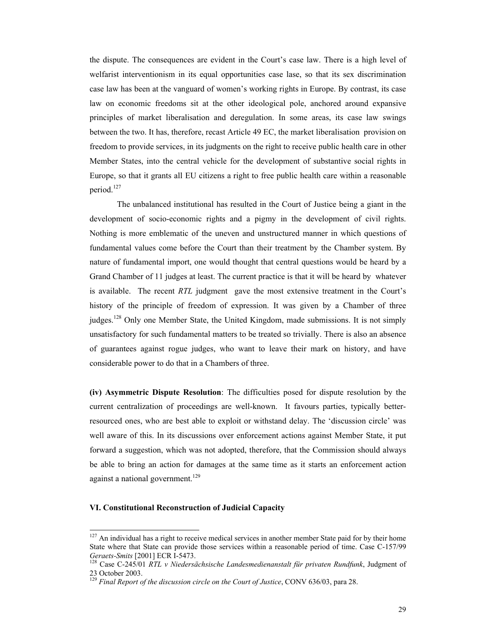the dispute. The consequences are evident in the Court's case law. There is a high level of welfarist interventionism in its equal opportunities case lase, so that its sex discrimination case law has been at the vanguard of women's working rights in Europe. By contrast, its case law on economic freedoms sit at the other ideological pole, anchored around expansive principles of market liberalisation and deregulation. In some areas, its case law swings between the two. It has, therefore, recast Article 49 EC, the market liberalisation provision on freedom to provide services, in its judgments on the right to receive public health care in other Member States, into the central vehicle for the development of substantive social rights in Europe, so that it grants all EU citizens a right to free public health care within a reasonable period.127

The unbalanced institutional has resulted in the Court of Justice being a giant in the development of socio-economic rights and a pigmy in the development of civil rights. Nothing is more emblematic of the uneven and unstructured manner in which questions of fundamental values come before the Court than their treatment by the Chamber system. By nature of fundamental import, one would thought that central questions would be heard by a Grand Chamber of 11 judges at least. The current practice is that it will be heard by whatever is available. The recent *RTL* judgment gave the most extensive treatment in the Court's history of the principle of freedom of expression. It was given by a Chamber of three judges.128 Only one Member State, the United Kingdom, made submissions. It is not simply unsatisfactory for such fundamental matters to be treated so trivially. There is also an absence of guarantees against rogue judges, who want to leave their mark on history, and have considerable power to do that in a Chambers of three.

**(iv) Asymmetric Dispute Resolution**: The difficulties posed for dispute resolution by the current centralization of proceedings are well-known. It favours parties, typically betterresourced ones, who are best able to exploit or withstand delay. The 'discussion circle' was well aware of this. In its discussions over enforcement actions against Member State, it put forward a suggestion, which was not adopted, therefore, that the Commission should always be able to bring an action for damages at the same time as it starts an enforcement action against a national government.<sup>129</sup>

#### **VI. Constitutional Reconstruction of Judicial Capacity**

 $127$  An individual has a right to receive medical services in another member State paid for by their home State where that State can provide those services within a reasonable period of time. Case C-157/99 *Geraets-Smits* [2001] ECR I-5473. 128 Case C-245/01 *RTL v Niedersächsische Landesmedienanstalt für privaten Rundfunk*, Judgment of

<sup>23</sup> October 2003.

<sup>129</sup> *Final Report of the discussion circle on the Court of Justice*, CONV 636/03, para 28.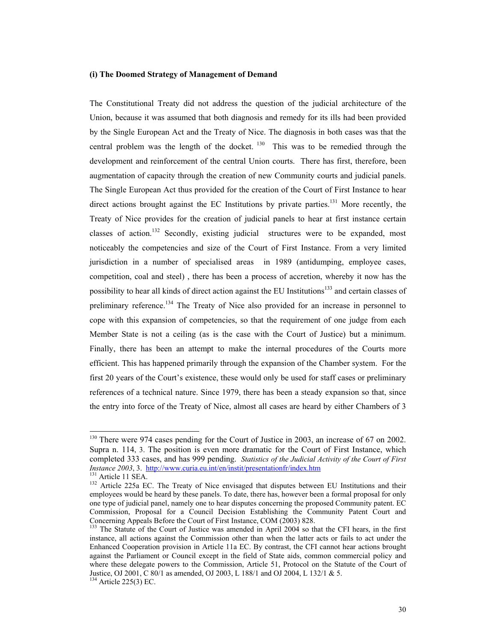#### **(i) The Doomed Strategy of Management of Demand**

The Constitutional Treaty did not address the question of the judicial architecture of the Union, because it was assumed that both diagnosis and remedy for its ills had been provided by the Single European Act and the Treaty of Nice. The diagnosis in both cases was that the central problem was the length of the docket.  $130$  This was to be remedied through the development and reinforcement of the central Union courts. There has first, therefore, been augmentation of capacity through the creation of new Community courts and judicial panels. The Single European Act thus provided for the creation of the Court of First Instance to hear direct actions brought against the EC Institutions by private parties.<sup>131</sup> More recently, the Treaty of Nice provides for the creation of judicial panels to hear at first instance certain classes of action.<sup>132</sup> Secondly, existing judicial structures were to be expanded, most noticeably the competencies and size of the Court of First Instance. From a very limited jurisdiction in a number of specialised areas in 1989 (antidumping, employee cases, competition, coal and steel) , there has been a process of accretion, whereby it now has the possibility to hear all kinds of direct action against the EU Institutions<sup>133</sup> and certain classes of preliminary reference.<sup>134</sup> The Treaty of Nice also provided for an increase in personnel to cope with this expansion of competencies, so that the requirement of one judge from each Member State is not a ceiling (as is the case with the Court of Justice) but a minimum. Finally, there has been an attempt to make the internal procedures of the Courts more efficient. This has happened primarily through the expansion of the Chamber system. For the first 20 years of the Court's existence, these would only be used for staff cases or preliminary references of a technical nature. Since 1979, there has been a steady expansion so that, since the entry into force of the Treaty of Nice, almost all cases are heard by either Chambers of 3

<sup>&</sup>lt;sup>130</sup> There were 974 cases pending for the Court of Justice in 2003, an increase of 67 on 2002. Supra n. 114, 3. The position is even more dramatic for the Court of First Instance, which completed 333 cases, and has 999 pending. *Statistics of the Judicial Activity of the Court of First Instance 2003*, 3. http://www.curia.eu.int/en/instit/presentationfr/index.htm

<sup>&</sup>lt;sup>131</sup> Article 11 SEA. **Instance 225a EC.** The Treaty of Nice envisaged that disputes between EU Institutions and their employees would be heard by these panels. To date, there has, however been a formal proposal for only one type of judicial panel, namely one to hear disputes concerning the proposed Community patent. EC Commission, Proposal for a Council Decision Establishing the Community Patent Court and Concerning Appeals Before the Court of First Instance, COM (2003) 828.

<sup>&</sup>lt;sup>133</sup> The Statute of the Court of Justice was amended in April 2004 so that the CFI hears, in the first instance, all actions against the Commission other than when the latter acts or fails to act under the Enhanced Cooperation provision in Article 11a EC. By contrast, the CFI cannot hear actions brought against the Parliament or Council except in the field of State aids, common commercial policy and where these delegate powers to the Commission, Article 51, Protocol on the Statute of the Court of Justice, OJ 2001, C 80/1 as amended, OJ 2003, L 188/1 and OJ 2004, L 132/1 & 5.

<sup>134</sup> Article 225(3) EC.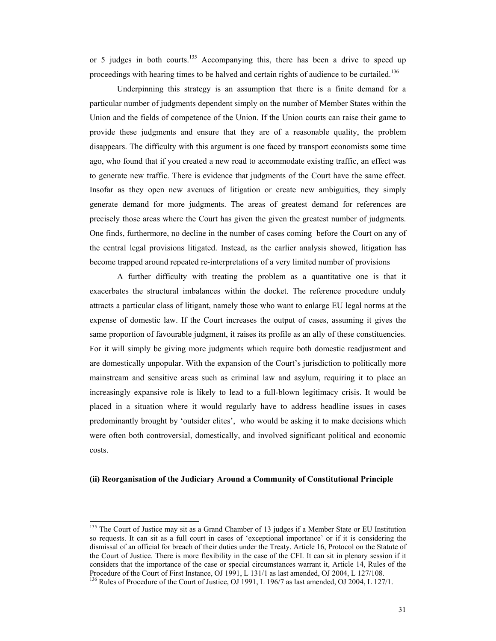or 5 judges in both courts.<sup>135</sup> Accompanying this, there has been a drive to speed up proceedings with hearing times to be halved and certain rights of audience to be curtailed.<sup>136</sup>

 Underpinning this strategy is an assumption that there is a finite demand for a particular number of judgments dependent simply on the number of Member States within the Union and the fields of competence of the Union. If the Union courts can raise their game to provide these judgments and ensure that they are of a reasonable quality, the problem disappears. The difficulty with this argument is one faced by transport economists some time ago, who found that if you created a new road to accommodate existing traffic, an effect was to generate new traffic. There is evidence that judgments of the Court have the same effect. Insofar as they open new avenues of litigation or create new ambiguities, they simply generate demand for more judgments. The areas of greatest demand for references are precisely those areas where the Court has given the given the greatest number of judgments. One finds, furthermore, no decline in the number of cases coming before the Court on any of the central legal provisions litigated. Instead, as the earlier analysis showed, litigation has become trapped around repeated re-interpretations of a very limited number of provisions

A further difficulty with treating the problem as a quantitative one is that it exacerbates the structural imbalances within the docket. The reference procedure unduly attracts a particular class of litigant, namely those who want to enlarge EU legal norms at the expense of domestic law. If the Court increases the output of cases, assuming it gives the same proportion of favourable judgment, it raises its profile as an ally of these constituencies. For it will simply be giving more judgments which require both domestic readjustment and are domestically unpopular. With the expansion of the Court's jurisdiction to politically more mainstream and sensitive areas such as criminal law and asylum, requiring it to place an increasingly expansive role is likely to lead to a full-blown legitimacy crisis. It would be placed in a situation where it would regularly have to address headline issues in cases predominantly brought by 'outsider elites', who would be asking it to make decisions which were often both controversial, domestically, and involved significant political and economic costs.

#### **(ii) Reorganisation of the Judiciary Around a Community of Constitutional Principle**

<sup>&</sup>lt;sup>135</sup> The Court of Justice may sit as a Grand Chamber of 13 judges if a Member State or EU Institution so requests. It can sit as a full court in cases of 'exceptional importance' or if it is considering the dismissal of an official for breach of their duties under the Treaty. Article 16, Protocol on the Statute of the Court of Justice. There is more flexibility in the case of the CFI. It can sit in plenary session if it considers that the importance of the case or special circumstances warrant it, Article 14, Rules of the Procedure of the Court of First Instance, OJ 1991, L 131/1 as last amended, OJ 2004, L 127/108.

<sup>&</sup>lt;sup>136</sup> Rules of Procedure of the Court of Justice, OJ 1991, L 196/7 as last amended, OJ 2004, L 127/1.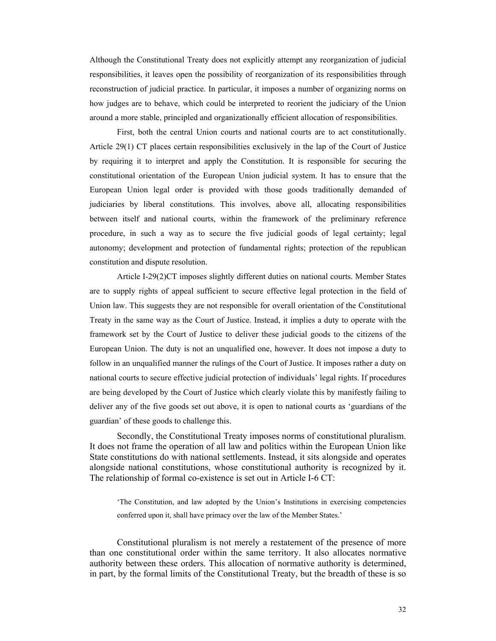Although the Constitutional Treaty does not explicitly attempt any reorganization of judicial responsibilities, it leaves open the possibility of reorganization of its responsibilities through reconstruction of judicial practice. In particular, it imposes a number of organizing norms on how judges are to behave, which could be interpreted to reorient the judiciary of the Union around a more stable, principled and organizationally efficient allocation of responsibilities.

 First, both the central Union courts and national courts are to act constitutionally. Article 29(1) CT places certain responsibilities exclusively in the lap of the Court of Justice by requiring it to interpret and apply the Constitution. It is responsible for securing the constitutional orientation of the European Union judicial system. It has to ensure that the European Union legal order is provided with those goods traditionally demanded of judiciaries by liberal constitutions. This involves, above all, allocating responsibilities between itself and national courts, within the framework of the preliminary reference procedure, in such a way as to secure the five judicial goods of legal certainty; legal autonomy; development and protection of fundamental rights; protection of the republican constitution and dispute resolution.

Article I-29(2)CT imposes slightly different duties on national courts. Member States are to supply rights of appeal sufficient to secure effective legal protection in the field of Union law. This suggests they are not responsible for overall orientation of the Constitutional Treaty in the same way as the Court of Justice. Instead, it implies a duty to operate with the framework set by the Court of Justice to deliver these judicial goods to the citizens of the European Union. The duty is not an unqualified one, however. It does not impose a duty to follow in an unqualified manner the rulings of the Court of Justice. It imposes rather a duty on national courts to secure effective judicial protection of individuals' legal rights. If procedures are being developed by the Court of Justice which clearly violate this by manifestly failing to deliver any of the five goods set out above, it is open to national courts as 'guardians of the guardian' of these goods to challenge this.

 Secondly, the Constitutional Treaty imposes norms of constitutional pluralism. It does not frame the operation of all law and politics within the European Union like State constitutions do with national settlements. Instead, it sits alongside and operates alongside national constitutions, whose constitutional authority is recognized by it. The relationship of formal co-existence is set out in Article I-6 CT:

'The Constitution, and law adopted by the Union's Institutions in exercising competencies conferred upon it, shall have primacy over the law of the Member States.'

 Constitutional pluralism is not merely a restatement of the presence of more than one constitutional order within the same territory. It also allocates normative authority between these orders. This allocation of normative authority is determined, in part, by the formal limits of the Constitutional Treaty, but the breadth of these is so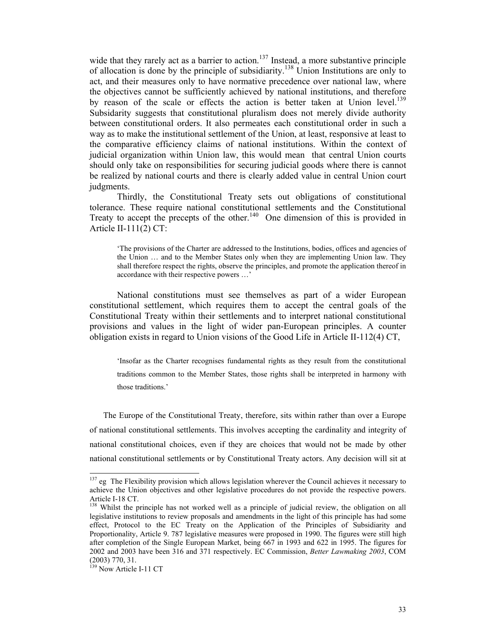wide that they rarely act as a barrier to action.<sup>137</sup> Instead, a more substantive principle of allocation is done by the principle of subsidiarity.<sup>138</sup> Union Institutions are only to act, and their measures only to have normative precedence over national law, where the objectives cannot be sufficiently achieved by national institutions, and therefore by reason of the scale or effects the action is better taken at Union level.<sup>139</sup> Subsidarity suggests that constitutional pluralism does not merely divide authority between constitutional orders. It also permeates each constitutional order in such a way as to make the institutional settlement of the Union, at least, responsive at least to the comparative efficiency claims of national institutions. Within the context of judicial organization within Union law, this would mean that central Union courts should only take on responsibilities for securing judicial goods where there is cannot be realized by national courts and there is clearly added value in central Union court judgments.

Thirdly, the Constitutional Treaty sets out obligations of constitutional tolerance. These require national constitutional settlements and the Constitutional Treaty to accept the precepts of the other.<sup>140</sup> One dimension of this is provided in Article II-111(2) CT:

'The provisions of the Charter are addressed to the Institutions, bodies, offices and agencies of the Union … and to the Member States only when they are implementing Union law. They shall therefore respect the rights, observe the principles, and promote the application thereof in accordance with their respective powers …'

National constitutions must see themselves as part of a wider European constitutional settlement, which requires them to accept the central goals of the Constitutional Treaty within their settlements and to interpret national constitutional provisions and values in the light of wider pan-European principles. A counter obligation exists in regard to Union visions of the Good Life in Article II-112(4) CT,

'Insofar as the Charter recognises fundamental rights as they result from the constitutional traditions common to the Member States, those rights shall be interpreted in harmony with those traditions.'

The Europe of the Constitutional Treaty, therefore, sits within rather than over a Europe of national constitutional settlements. This involves accepting the cardinality and integrity of national constitutional choices, even if they are choices that would not be made by other national constitutional settlements or by Constitutional Treaty actors. Any decision will sit at

<sup>&</sup>lt;sup>137</sup> eg The Flexibility provision which allows legislation wherever the Council achieves it necessary to achieve the Union objectives and other legislative procedures do not provide the respective powers. Article I-18 CT.

<sup>&</sup>lt;sup>138</sup> Whilst the principle has not worked well as a principle of judicial review, the obligation on all legislative institutions to review proposals and amendments in the light of this principle has had some effect, Protocol to the EC Treaty on the Application of the Principles of Subsidiarity and Proportionality, Article 9. 787 legislative measures were proposed in 1990. The figures were still high after completion of the Single European Market, being 667 in 1993 and 622 in 1995. The figures for 2002 and 2003 have been 316 and 371 respectively. EC Commission, *Better Lawmaking 2003*, COM (2003) 770, 31.

<sup>&</sup>lt;sup>139</sup> Now Article I-11 CT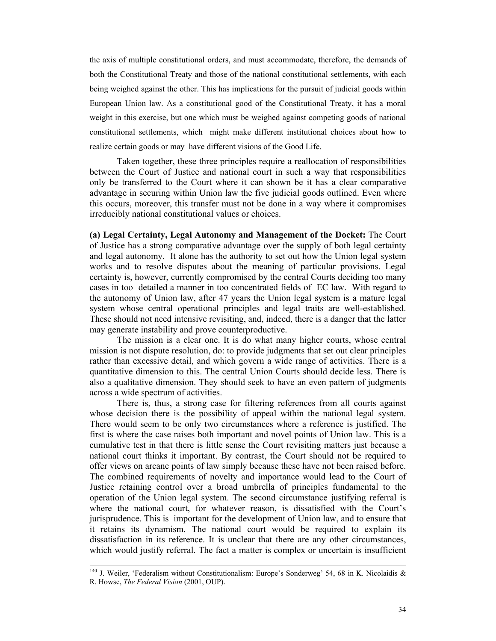the axis of multiple constitutional orders, and must accommodate, therefore, the demands of both the Constitutional Treaty and those of the national constitutional settlements, with each being weighed against the other. This has implications for the pursuit of judicial goods within European Union law. As a constitutional good of the Constitutional Treaty, it has a moral weight in this exercise, but one which must be weighed against competing goods of national constitutional settlements, which might make different institutional choices about how to realize certain goods or may have different visions of the Good Life.

 Taken together, these three principles require a reallocation of responsibilities between the Court of Justice and national court in such a way that responsibilities only be transferred to the Court where it can shown be it has a clear comparative advantage in securing within Union law the five judicial goods outlined. Even where this occurs, moreover, this transfer must not be done in a way where it compromises irreducibly national constitutional values or choices.

**(a) Legal Certainty, Legal Autonomy and Management of the Docket:** The Court of Justice has a strong comparative advantage over the supply of both legal certainty and legal autonomy. It alone has the authority to set out how the Union legal system works and to resolve disputes about the meaning of particular provisions. Legal certainty is, however, currently compromised by the central Courts deciding too many cases in too detailed a manner in too concentrated fields of EC law. With regard to the autonomy of Union law, after 47 years the Union legal system is a mature legal system whose central operational principles and legal traits are well-established. These should not need intensive revisiting, and, indeed, there is a danger that the latter may generate instability and prove counterproductive.

 The mission is a clear one. It is do what many higher courts, whose central mission is not dispute resolution, do: to provide judgments that set out clear principles rather than excessive detail, and which govern a wide range of activities. There is a quantitative dimension to this. The central Union Courts should decide less. There is also a qualitative dimension. They should seek to have an even pattern of judgments across a wide spectrum of activities.

There is, thus, a strong case for filtering references from all courts against whose decision there is the possibility of appeal within the national legal system. There would seem to be only two circumstances where a reference is justified. The first is where the case raises both important and novel points of Union law. This is a cumulative test in that there is little sense the Court revisiting matters just because a national court thinks it important. By contrast, the Court should not be required to offer views on arcane points of law simply because these have not been raised before. The combined requirements of novelty and importance would lead to the Court of Justice retaining control over a broad umbrella of principles fundamental to the operation of the Union legal system. The second circumstance justifying referral is where the national court, for whatever reason, is dissatisfied with the Court's jurisprudence. This is important for the development of Union law, and to ensure that it retains its dynamism. The national court would be required to explain its dissatisfaction in its reference. It is unclear that there are any other circumstances, which would justify referral. The fact a matter is complex or uncertain is insufficient

<sup>&</sup>lt;sup>140</sup> J. Weiler, 'Federalism without Constitutionalism: Europe's Sonderweg' 54, 68 in K. Nicolaidis & R. Howse, *The Federal Vision* (2001, OUP).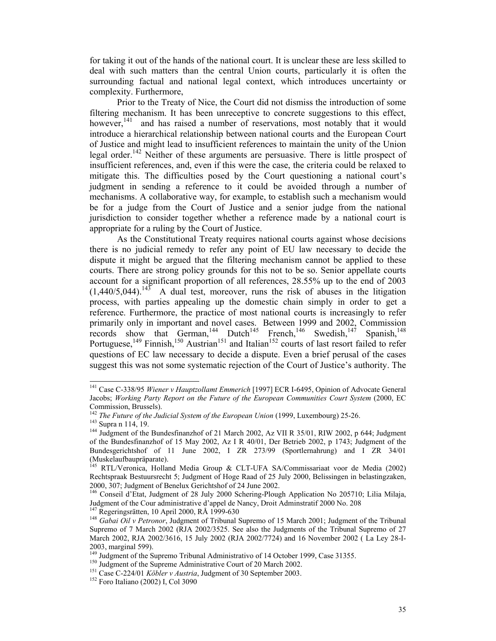for taking it out of the hands of the national court. It is unclear these are less skilled to deal with such matters than the central Union courts, particularly it is often the surrounding factual and national legal context, which introduces uncertainty or complexity. Furthermore,

Prior to the Treaty of Nice, the Court did not dismiss the introduction of some filtering mechanism. It has been unreceptive to concrete suggestions to this effect, however,<sup>141</sup> and has raised a number of reservations, most notably that it would introduce a hierarchical relationship between national courts and the European Court of Justice and might lead to insufficient references to maintain the unity of the Union legal order.<sup>142</sup> Neither of these arguments are persuasive. There is little prospect of insufficient references, and, even if this were the case, the criteria could be relaxed to mitigate this. The difficulties posed by the Court questioning a national court's judgment in sending a reference to it could be avoided through a number of mechanisms. A collaborative way, for example, to establish such a mechanism would be for a judge from the Court of Justice and a senior judge from the national jurisdiction to consider together whether a reference made by a national court is appropriate for a ruling by the Court of Justice.

 As the Constitutional Treaty requires national courts against whose decisions there is no judicial remedy to refer any point of EU law necessary to decide the dispute it might be argued that the filtering mechanism cannot be applied to these courts. There are strong policy grounds for this not to be so. Senior appellate courts account for a significant proportion of all references, 28.55% up to the end of 2003  $(1,440/5,044).$ <sup>145</sup> A dual test, moreover, runs the risk of abuses in the litigation process, with parties appealing up the domestic chain simply in order to get a reference. Furthermore, the practice of most national courts is increasingly to refer primarily only in important and novel cases. Between 1999 and 2002, Commission records show that German,<sup>144</sup> Dutch<sup>145</sup> French,<sup>146</sup> Swedish,<sup>147</sup> Spanish,<sup>148</sup> Portuguese,  $149$  Finnish,  $150$  Austrian  $151$  and Italian  $152$  courts of last resort failed to refer questions of EC law necessary to decide a dispute. Even a brief perusal of the cases suggest this was not some systematic rejection of the Court of Justice's authority. The

 $\overline{a}$ 

<sup>141</sup> Case C-338/95 *Wiener v Hauptzollamt Emmerich* [1997] ECR I-6495, Opinion of Advocate General Jacobs; *Working Party Report on the Future of the European Communities Court System* (2000, EC Commission, Brussels).<br>
<sup>142</sup> The Future of the Judicial System of the European Union (1999, Luxembourg) 25-26.

<sup>&</sup>lt;sup>143</sup> Supra n 114, 19. **144 Iudicial System of the Bundesfinanzhof of 21 March 2002, Az VII R 35/01, RIW 2002, p 644; Judgment of the Bundesfinanzhof of 21 March 2002, Az VII R 35/01, RIW 2002, p 644; Judgment** of the Bundesfinanzhof of 15 May 2002, Az I R 40/01, Der Betrieb 2002, p 1743; Judgment of the Bundesgerichtshof of 11 June 2002, I ZR 273/99 (Sportlernahrung) and I ZR 34/01 (Muskelaufbaupräparate).

<sup>&</sup>lt;sup>145</sup> RTL/Veronica, Holland Media Group & CLT-UFA SA/Commissariaat voor de Media (2002) Rechtspraak Bestuursrecht 5; Judgment of Hoge Raad of 25 July 2000, Belissingen in belastingzaken, 2000, 307; Judgment of Benelux Gerichtshof of 24 June 2002.

<sup>146</sup> Conseil d'Etat, Judgment of 28 July 2000 Schering-Plough Application No 205710; Lilia Milaja, Judgment of the Cour administrative d'appel de Nancy, Droit Administratif 2000 No. 208<br><sup>147</sup> Regeringsrätten, 10 April 2000, RÅ 1999-630

<sup>&</sup>lt;sup>148</sup> Gabai Oil v Petronor, Judgment of Tribunal Supremo of 15 March 2001; Judgment of the Tribunal Supremo of 7 March 2002 (RJA 2002/3525. See also the Judgments of the Tribunal Supremo of 27 March 2002, RJA 2002/3616, 15 July 2002 (RJA 2002/7724) and 16 November 2002 ( La Ley 28-I-2003, marginal 599).

<sup>&</sup>lt;sup>149</sup> Judgment of the Supremo Tribunal Administrativo of 14 October 1999, Case 31355.<br><sup>150</sup> Judgment of the Supreme Administrative Court of 20 March 2002.<br><sup>151</sup> Case C-224/01 *Köbler v Austria*, Judgment of 30 September 2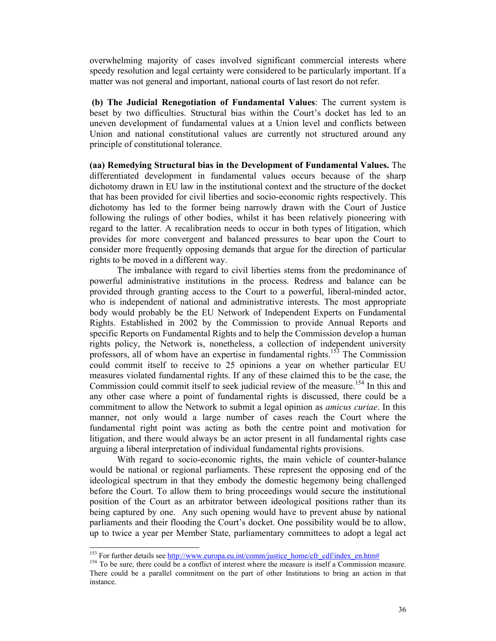overwhelming majority of cases involved significant commercial interests where speedy resolution and legal certainty were considered to be particularly important. If a matter was not general and important, national courts of last resort do not refer.

 **(b) The Judicial Renegotiation of Fundamental Values**: The current system is beset by two difficulties. Structural bias within the Court's docket has led to an uneven development of fundamental values at a Union level and conflicts between Union and national constitutional values are currently not structured around any principle of constitutional tolerance.

**(aa) Remedying Structural bias in the Development of Fundamental Values.** The differentiated development in fundamental values occurs because of the sharp dichotomy drawn in EU law in the institutional context and the structure of the docket that has been provided for civil liberties and socio-economic rights respectively. This dichotomy has led to the former being narrowly drawn with the Court of Justice following the rulings of other bodies, whilst it has been relatively pioneering with regard to the latter. A recalibration needs to occur in both types of litigation, which provides for more convergent and balanced pressures to bear upon the Court to consider more frequently opposing demands that argue for the direction of particular rights to be moved in a different way.

The imbalance with regard to civil liberties stems from the predominance of powerful administrative institutions in the process. Redress and balance can be provided through granting access to the Court to a powerful, liberal-minded actor, who is independent of national and administrative interests. The most appropriate body would probably be the EU Network of Independent Experts on Fundamental Rights. Established in 2002 by the Commission to provide Annual Reports and specific Reports on Fundamental Rights and to help the Commission develop a human rights policy, the Network is, nonetheless, a collection of independent university professors, all of whom have an expertise in fundamental rights.<sup>153</sup> The Commission could commit itself to receive to 25 opinions a year on whether particular EU measures violated fundamental rights. If any of these claimed this to be the case, the Commission could commit itself to seek judicial review of the measure.<sup>154</sup> In this and any other case where a point of fundamental rights is discussed, there could be a commitment to allow the Network to submit a legal opinion as *amicus curiae*. In this manner, not only would a large number of cases reach the Court where the fundamental right point was acting as both the centre point and motivation for litigation, and there would always be an actor present in all fundamental rights case arguing a liberal interpretation of individual fundamental rights provisions.

With regard to socio-economic rights, the main vehicle of counter-balance would be national or regional parliaments. These represent the opposing end of the ideological spectrum in that they embody the domestic hegemony being challenged before the Court. To allow them to bring proceedings would secure the institutional position of the Court as an arbitrator between ideological positions rather than its being captured by one. Any such opening would have to prevent abuse by national parliaments and their flooding the Court's docket. One possibility would be to allow, up to twice a year per Member State, parliamentary committees to adopt a legal act

<sup>&</sup>lt;sup>153</sup> For further details see http://www.europa.eu.int/comm/justice\_home/cfr\_cdf/index\_en.htm#

 $154$  To be sure, there could be a conflict of interest where the measure is itself a Commission measure. There could be a parallel commitment on the part of other Institutions to bring an action in that instance.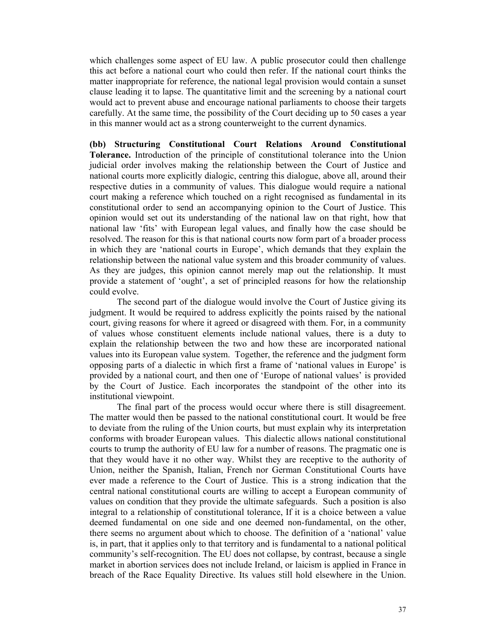which challenges some aspect of EU law. A public prosecutor could then challenge this act before a national court who could then refer. If the national court thinks the matter inappropriate for reference, the national legal provision would contain a sunset clause leading it to lapse. The quantitative limit and the screening by a national court would act to prevent abuse and encourage national parliaments to choose their targets carefully. At the same time, the possibility of the Court deciding up to 50 cases a year in this manner would act as a strong counterweight to the current dynamics.

**(bb) Structuring Constitutional Court Relations Around Constitutional Tolerance.** Introduction of the principle of constitutional tolerance into the Union judicial order involves making the relationship between the Court of Justice and national courts more explicitly dialogic, centring this dialogue, above all, around their respective duties in a community of values. This dialogue would require a national court making a reference which touched on a right recognised as fundamental in its constitutional order to send an accompanying opinion to the Court of Justice. This opinion would set out its understanding of the national law on that right, how that national law 'fits' with European legal values, and finally how the case should be resolved. The reason for this is that national courts now form part of a broader process in which they are 'national courts in Europe', which demands that they explain the relationship between the national value system and this broader community of values. As they are judges, this opinion cannot merely map out the relationship. It must provide a statement of 'ought', a set of principled reasons for how the relationship could evolve.

The second part of the dialogue would involve the Court of Justice giving its judgment. It would be required to address explicitly the points raised by the national court, giving reasons for where it agreed or disagreed with them. For, in a community of values whose constituent elements include national values, there is a duty to explain the relationship between the two and how these are incorporated national values into its European value system. Together, the reference and the judgment form opposing parts of a dialectic in which first a frame of 'national values in Europe' is provided by a national court, and then one of 'Europe of national values' is provided by the Court of Justice. Each incorporates the standpoint of the other into its institutional viewpoint.

The final part of the process would occur where there is still disagreement. The matter would then be passed to the national constitutional court. It would be free to deviate from the ruling of the Union courts, but must explain why its interpretation conforms with broader European values. This dialectic allows national constitutional courts to trump the authority of EU law for a number of reasons. The pragmatic one is that they would have it no other way. Whilst they are receptive to the authority of Union, neither the Spanish, Italian, French nor German Constitutional Courts have ever made a reference to the Court of Justice. This is a strong indication that the central national constitutional courts are willing to accept a European community of values on condition that they provide the ultimate safeguards. Such a position is also integral to a relationship of constitutional tolerance, If it is a choice between a value deemed fundamental on one side and one deemed non-fundamental, on the other, there seems no argument about which to choose. The definition of a 'national' value is, in part, that it applies only to that territory and is fundamental to a national political community's self-recognition. The EU does not collapse, by contrast, because a single market in abortion services does not include Ireland, or laicism is applied in France in breach of the Race Equality Directive. Its values still hold elsewhere in the Union.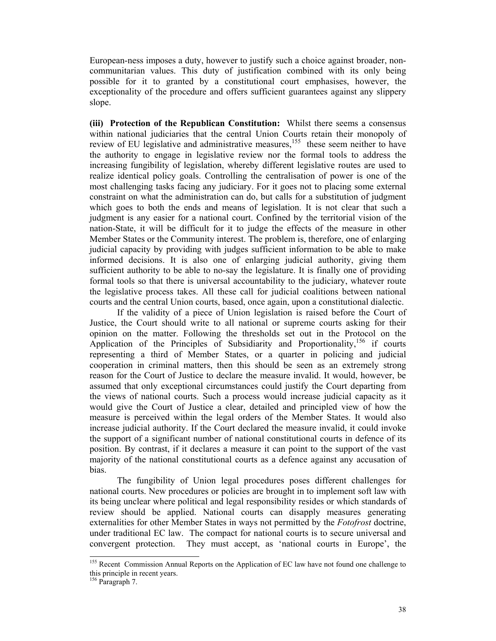European-ness imposes a duty, however to justify such a choice against broader, noncommunitarian values. This duty of justification combined with its only being possible for it to granted by a constitutional court emphasises, however, the exceptionality of the procedure and offers sufficient guarantees against any slippery slope.

**(iii) Protection of the Republican Constitution:** Whilst there seems a consensus within national judiciaries that the central Union Courts retain their monopoly of review of EU legislative and administrative measures,<sup>155</sup> these seem neither to have the authority to engage in legislative review nor the formal tools to address the increasing fungibility of legislation, whereby different legislative routes are used to realize identical policy goals. Controlling the centralisation of power is one of the most challenging tasks facing any judiciary. For it goes not to placing some external constraint on what the administration can do, but calls for a substitution of judgment which goes to both the ends and means of legislation. It is not clear that such a judgment is any easier for a national court. Confined by the territorial vision of the nation-State, it will be difficult for it to judge the effects of the measure in other Member States or the Community interest. The problem is, therefore, one of enlarging judicial capacity by providing with judges sufficient information to be able to make informed decisions. It is also one of enlarging judicial authority, giving them sufficient authority to be able to no-say the legislature. It is finally one of providing formal tools so that there is universal accountability to the judiciary, whatever route the legislative process takes. All these call for judicial coalitions between national courts and the central Union courts, based, once again, upon a constitutional dialectic.

If the validity of a piece of Union legislation is raised before the Court of Justice, the Court should write to all national or supreme courts asking for their opinion on the matter. Following the thresholds set out in the Protocol on the Application of the Principles of Subsidiarity and Proportionality,  $156$  if courts representing a third of Member States, or a quarter in policing and judicial cooperation in criminal matters, then this should be seen as an extremely strong reason for the Court of Justice to declare the measure invalid. It would, however, be assumed that only exceptional circumstances could justify the Court departing from the views of national courts. Such a process would increase judicial capacity as it would give the Court of Justice a clear, detailed and principled view of how the measure is perceived within the legal orders of the Member States. It would also increase judicial authority. If the Court declared the measure invalid, it could invoke the support of a significant number of national constitutional courts in defence of its position. By contrast, if it declares a measure it can point to the support of the vast majority of the national constitutional courts as a defence against any accusation of bias.

The fungibility of Union legal procedures poses different challenges for national courts. New procedures or policies are brought in to implement soft law with its being unclear where political and legal responsibility resides or which standards of review should be applied. National courts can disapply measures generating externalities for other Member States in ways not permitted by the *Fotofrost* doctrine, under traditional EC law. The compact for national courts is to secure universal and convergent protection. They must accept, as 'national courts in Europe', the

 $\overline{a}$ 

<sup>&</sup>lt;sup>155</sup> Recent Commission Annual Reports on the Application of EC law have not found one challenge to this principle in recent years.

<sup>156</sup> Paragraph 7.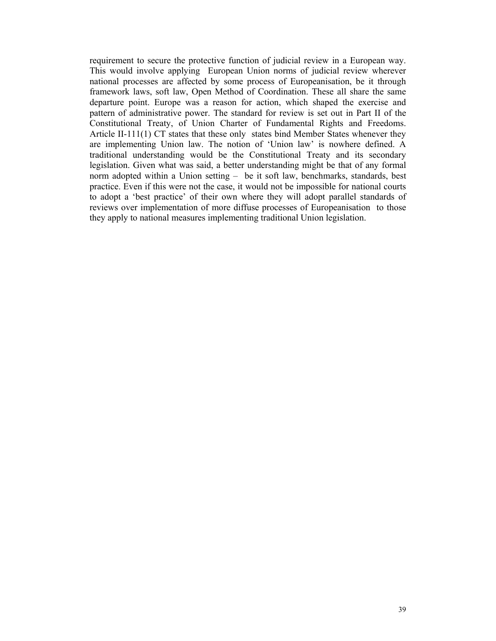requirement to secure the protective function of judicial review in a European way. This would involve applying European Union norms of judicial review wherever national processes are affected by some process of Europeanisation, be it through framework laws, soft law, Open Method of Coordination. These all share the same departure point. Europe was a reason for action, which shaped the exercise and pattern of administrative power. The standard for review is set out in Part II of the Constitutional Treaty, of Union Charter of Fundamental Rights and Freedoms. Article II-111(1) CT states that these only states bind Member States whenever they are implementing Union law. The notion of 'Union law' is nowhere defined. A traditional understanding would be the Constitutional Treaty and its secondary legislation. Given what was said, a better understanding might be that of any formal norm adopted within a Union setting – be it soft law, benchmarks, standards, best practice. Even if this were not the case, it would not be impossible for national courts to adopt a 'best practice' of their own where they will adopt parallel standards of reviews over implementation of more diffuse processes of Europeanisation to those they apply to national measures implementing traditional Union legislation.